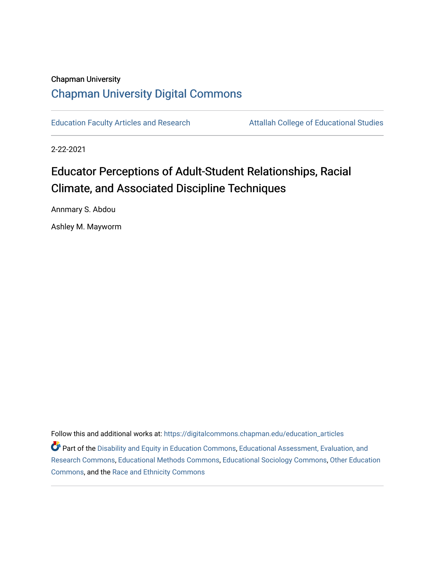# Chapman University [Chapman University Digital Commons](https://digitalcommons.chapman.edu/)

[Education Faculty Articles and Research](https://digitalcommons.chapman.edu/education_articles) **Attallah College of Educational Studies** 

2-22-2021

# Educator Perceptions of Adult-Student Relationships, Racial Climate, and Associated Discipline Techniques

Annmary S. Abdou

Ashley M. Mayworm

Follow this and additional works at: [https://digitalcommons.chapman.edu/education\\_articles](https://digitalcommons.chapman.edu/education_articles?utm_source=digitalcommons.chapman.edu%2Feducation_articles%2F290&utm_medium=PDF&utm_campaign=PDFCoverPages)

**C** Part of the [Disability and Equity in Education Commons](http://network.bepress.com/hgg/discipline/1040?utm_source=digitalcommons.chapman.edu%2Feducation_articles%2F290&utm_medium=PDF&utm_campaign=PDFCoverPages), [Educational Assessment, Evaluation, and](http://network.bepress.com/hgg/discipline/796?utm_source=digitalcommons.chapman.edu%2Feducation_articles%2F290&utm_medium=PDF&utm_campaign=PDFCoverPages) [Research Commons,](http://network.bepress.com/hgg/discipline/796?utm_source=digitalcommons.chapman.edu%2Feducation_articles%2F290&utm_medium=PDF&utm_campaign=PDFCoverPages) [Educational Methods Commons,](http://network.bepress.com/hgg/discipline/1227?utm_source=digitalcommons.chapman.edu%2Feducation_articles%2F290&utm_medium=PDF&utm_campaign=PDFCoverPages) [Educational Sociology Commons](http://network.bepress.com/hgg/discipline/1071?utm_source=digitalcommons.chapman.edu%2Feducation_articles%2F290&utm_medium=PDF&utm_campaign=PDFCoverPages), [Other Education](http://network.bepress.com/hgg/discipline/811?utm_source=digitalcommons.chapman.edu%2Feducation_articles%2F290&utm_medium=PDF&utm_campaign=PDFCoverPages)  [Commons](http://network.bepress.com/hgg/discipline/811?utm_source=digitalcommons.chapman.edu%2Feducation_articles%2F290&utm_medium=PDF&utm_campaign=PDFCoverPages), and the [Race and Ethnicity Commons](http://network.bepress.com/hgg/discipline/426?utm_source=digitalcommons.chapman.edu%2Feducation_articles%2F290&utm_medium=PDF&utm_campaign=PDFCoverPages)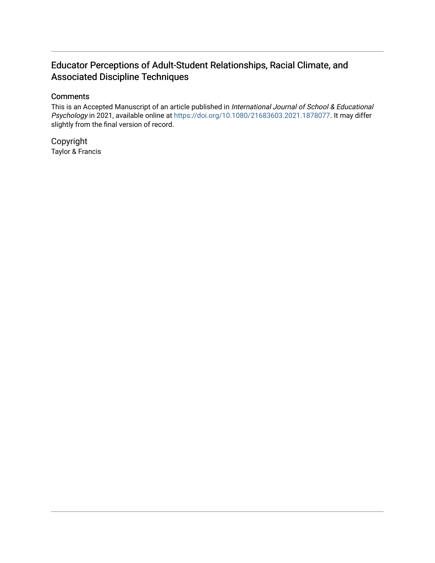# Educator Perceptions of Adult-Student Relationships, Racial Climate, and Associated Discipline Techniques

# **Comments**

This is an Accepted Manuscript of an article published in International Journal of School & Educational Psychology in 2021, available online at [https://doi.org/10.1080/21683603.2021.1878077.](https://doi.org/10.1080/21683603.2021.1878077) It may differ slightly from the final version of record.

Copyright Taylor & Francis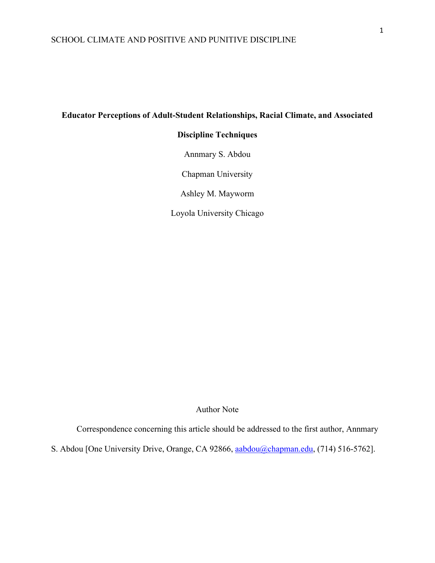# **Educator Perceptions of Adult-Student Relationships, Racial Climate, and Associated**

# **Discipline Techniques**

Annmary S. Abdou

Chapman University

Ashley M. Mayworm

Loyola University Chicago

Author Note

Correspondence concerning this article should be addressed to the first author, Annmary

S. Abdou [One University Drive, Orange, CA 92866, [aabdou@chapman.edu,](mailto:aabdou@chapman.edu) (714) 516-5762].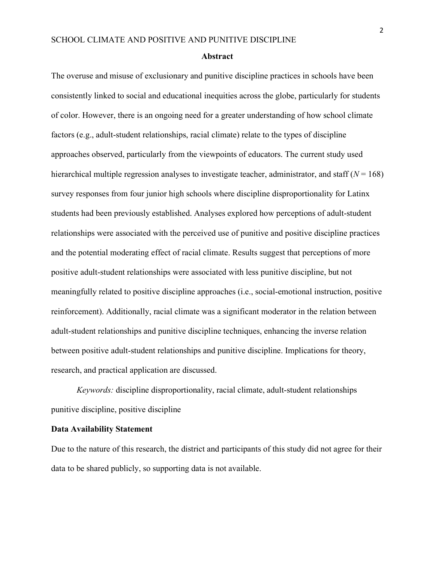#### **Abstract**

The overuse and misuse of exclusionary and punitive discipline practices in schools have been consistently linked to social and educational inequities across the globe, particularly for students of color. However, there is an ongoing need for a greater understanding of how school climate factors (e.g., adult-student relationships, racial climate) relate to the types of discipline approaches observed, particularly from the viewpoints of educators. The current study used hierarchical multiple regression analyses to investigate teacher, administrator, and staff (*N* = 168) survey responses from four junior high schools where discipline disproportionality for Latinx students had been previously established. Analyses explored how perceptions of adult-student relationships were associated with the perceived use of punitive and positive discipline practices and the potential moderating effect of racial climate. Results suggest that perceptions of more positive adult-student relationships were associated with less punitive discipline, but not meaningfully related to positive discipline approaches (i.e., social-emotional instruction, positive reinforcement). Additionally, racial climate was a significant moderator in the relation between adult-student relationships and punitive discipline techniques, enhancing the inverse relation between positive adult-student relationships and punitive discipline. Implications for theory, research, and practical application are discussed.

*Keywords:* discipline disproportionality, racial climate, adult-student relationships punitive discipline, positive discipline

# **Data Availability Statement**

Due to the nature of this research, the district and participants of this study did not agree for their data to be shared publicly, so supporting data is not available.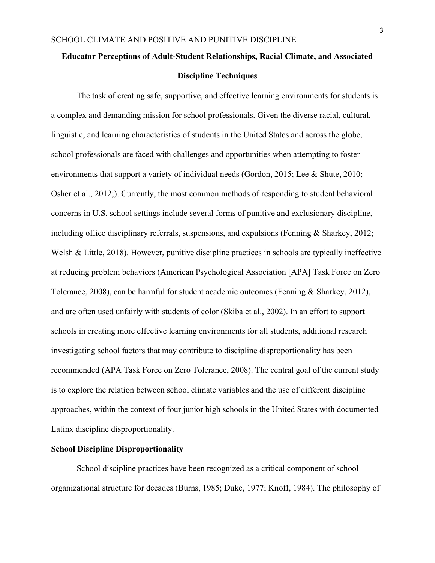# **Educator Perceptions of Adult-Student Relationships, Racial Climate, and Associated Discipline Techniques**

The task of creating safe, supportive, and effective learning environments for students is a complex and demanding mission for school professionals. Given the diverse racial, cultural, linguistic, and learning characteristics of students in the United States and across the globe, school professionals are faced with challenges and opportunities when attempting to foster environments that support a variety of individual needs (Gordon, 2015; Lee & Shute, 2010; Osher et al., 2012;). Currently, the most common methods of responding to student behavioral concerns in U.S. school settings include several forms of punitive and exclusionary discipline, including office disciplinary referrals, suspensions, and expulsions (Fenning & Sharkey, 2012; Welsh & Little, 2018). However, punitive discipline practices in schools are typically ineffective at reducing problem behaviors (American Psychological Association [APA] Task Force on Zero Tolerance, 2008), can be harmful for student academic outcomes (Fenning & Sharkey, 2012), and are often used unfairly with students of color (Skiba et al., 2002). In an effort to support schools in creating more effective learning environments for all students, additional research investigating school factors that may contribute to discipline disproportionality has been recommended (APA Task Force on Zero Tolerance, 2008). The central goal of the current study is to explore the relation between school climate variables and the use of different discipline approaches, within the context of four junior high schools in the United States with documented Latinx discipline disproportionality.

# **School Discipline Disproportionality**

School discipline practices have been recognized as a critical component of school organizational structure for decades (Burns, 1985; Duke, 1977; Knoff, 1984). The philosophy of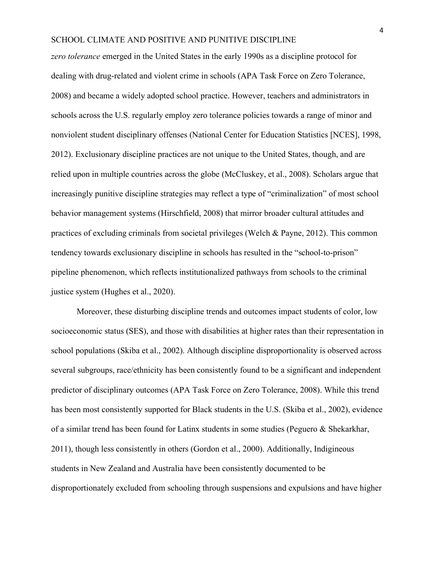*zero tolerance* emerged in the United States in the early 1990s as a discipline protocol for dealing with drug-related and violent crime in schools (APA Task Force on Zero Tolerance, 2008) and became a widely adopted school practice. However, teachers and administrators in schools across the U.S. regularly employ zero tolerance policies towards a range of minor and nonviolent student disciplinary offenses (National Center for Education Statistics [NCES], 1998, 2012). Exclusionary discipline practices are not unique to the United States, though, and are relied upon in multiple countries across the globe (McCluskey, et al., 2008). Scholars argue that increasingly punitive discipline strategies may reflect a type of "criminalization" of most school behavior management systems (Hirschfield, 2008) that mirror broader cultural attitudes and practices of excluding criminals from societal privileges (Welch & Payne, 2012). This common tendency towards exclusionary discipline in schools has resulted in the "school-to-prison" pipeline phenomenon, which reflects institutionalized pathways from schools to the criminal justice system (Hughes et al., 2020).

Moreover, these disturbing discipline trends and outcomes impact students of color, low socioeconomic status (SES), and those with disabilities at higher rates than their representation in school populations (Skiba et al., 2002). Although discipline disproportionality is observed across several subgroups, race/ethnicity has been consistently found to be a significant and independent predictor of disciplinary outcomes (APA Task Force on Zero Tolerance, 2008). While this trend has been most consistently supported for Black students in the U.S. (Skiba et al., 2002), evidence of a similar trend has been found for Latinx students in some studies (Peguero & Shekarkhar, 2011), though less consistently in others (Gordon et al., 2000). Additionally, Indigineous students in New Zealand and Australia have been consistently documented to be disproportionately excluded from schooling through suspensions and expulsions and have higher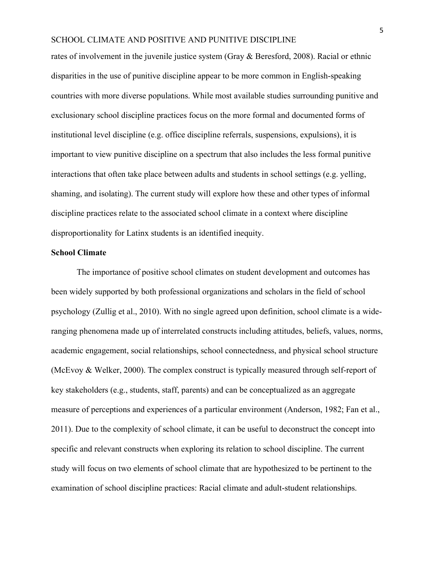rates of involvement in the juvenile justice system (Gray & Beresford, 2008). Racial or ethnic disparities in the use of punitive discipline appear to be more common in English-speaking countries with more diverse populations. While most available studies surrounding punitive and exclusionary school discipline practices focus on the more formal and documented forms of institutional level discipline (e.g. office discipline referrals, suspensions, expulsions), it is important to view punitive discipline on a spectrum that also includes the less formal punitive interactions that often take place between adults and students in school settings (e.g. yelling, shaming, and isolating). The current study will explore how these and other types of informal discipline practices relate to the associated school climate in a context where discipline disproportionality for Latinx students is an identified inequity.

# **School Climate**

The importance of positive school climates on student development and outcomes has been widely supported by both professional organizations and scholars in the field of school psychology (Zullig et al., 2010). With no single agreed upon definition, school climate is a wideranging phenomena made up of interrelated constructs including attitudes, beliefs, values, norms, academic engagement, social relationships, school connectedness, and physical school structure (McEvoy & Welker, 2000). The complex construct is typically measured through self-report of key stakeholders (e.g., students, staff, parents) and can be conceptualized as an aggregate measure of perceptions and experiences of a particular environment (Anderson, 1982; Fan et al., 2011). Due to the complexity of school climate, it can be useful to deconstruct the concept into specific and relevant constructs when exploring its relation to school discipline. The current study will focus on two elements of school climate that are hypothesized to be pertinent to the examination of school discipline practices: Racial climate and adult-student relationships.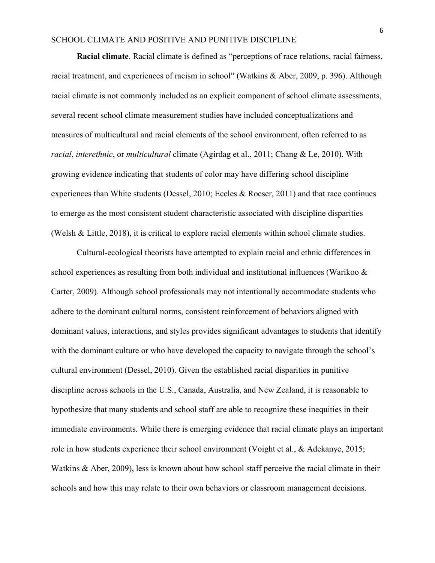**Racial climate**. Racial climate is defined as "perceptions of race relations, racial fairness, racial treatment, and experiences of racism in school" (Watkins & Aber, 2009, p. 396). Although racial climate is not commonly included as an explicit component of school climate assessments, several recent school climate measurement studies have included conceptualizations and measures of multicultural and racial elements of the school environment, often referred to as *racial*, *interethnic*, or *multicultural* climate (Agirdag et al., 2011; Chang & Le, 2010). With growing evidence indicating that students of color may have differing school discipline experiences than White students (Dessel, 2010; Eccles & Roeser, 2011) and that race continues to emerge as the most consistent student characteristic associated with discipline disparities (Welsh & Little, 2018), it is critical to explore racial elements within school climate studies.

Cultural-ecological theorists have attempted to explain racial and ethnic differences in school experiences as resulting from both individual and institutional influences (Warikoo & Carter, 2009). Although school professionals may not intentionally accommodate students who adhere to the dominant cultural norms, consistent reinforcement of behaviors aligned with dominant values, interactions, and styles provides significant advantages to students that identify with the dominant culture or who have developed the capacity to navigate through the school's cultural environment (Dessel, 2010). Given the established racial disparities in punitive discipline across schools in the U.S., Canada, Australia, and New Zealand, it is reasonable to hypothesize that many students and school staff are able to recognize these inequities in their immediate environments. While there is emerging evidence that racial climate plays an important role in how students experience their school environment (Voight et al., & Adekanye, 2015; Watkins & Aber, 2009), less is known about how school staff perceive the racial climate in their schools and how this may relate to their own behaviors or classroom management decisions.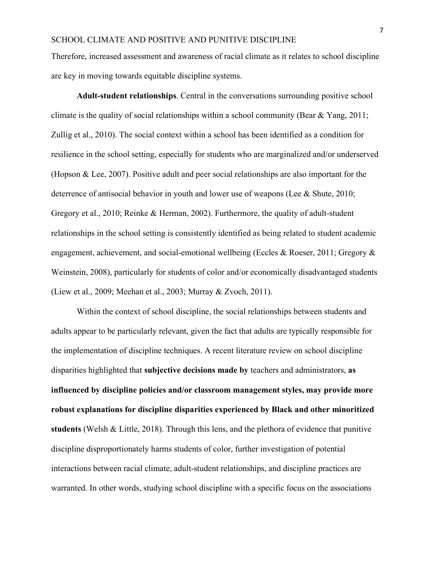Therefore, increased assessment and awareness of racial climate as it relates to school discipline are key in moving towards equitable discipline systems.

**Adult-student relationships**. Central in the conversations surrounding positive school climate is the quality of social relationships within a school community (Bear & Yang, 2011; Zullig et al., 2010). The social context within a school has been identified as a condition for resilience in the school setting, especially for students who are marginalized and/or underserved (Hopson & Lee, 2007). Positive adult and peer social relationships are also important for the deterrence of antisocial behavior in youth and lower use of weapons (Lee & Shute, 2010; Gregory et al., 2010; Reinke & Herman, 2002). Furthermore, the quality of adult-student relationships in the school setting is consistently identified as being related to student academic engagement, achievement, and social-emotional wellbeing (Eccles & Roeser, 2011; Gregory & Weinstein, 2008), particularly for students of color and/or economically disadvantaged students (Liew et al., 2009; Meehan et al., 2003; Murray & Zvoch, 2011).

Within the context of school discipline, the social relationships between students and adults appear to be particularly relevant, given the fact that adults are typically responsible for the implementation of discipline techniques. A recent literature review on school discipline disparities highlighted that **subjective decisions made by** teachers and administrators, **as influenced by discipline policies and/or classroom management styles, may provide more robust explanations for discipline disparities experienced by Black and other minoritized students** (Welsh & Little, 2018). Through this lens, and the plethora of evidence that punitive discipline disproportionately harms students of color, further investigation of potential interactions between racial climate, adult-student relationships, and discipline practices are warranted. In other words, studying school discipline with a specific focus on the associations

7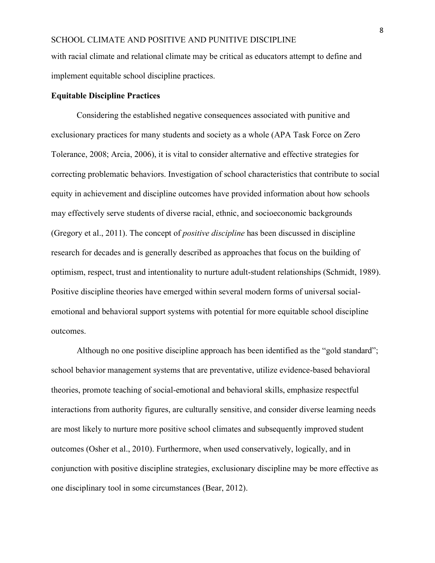with racial climate and relational climate may be critical as educators attempt to define and implement equitable school discipline practices.

## **Equitable Discipline Practices**

Considering the established negative consequences associated with punitive and exclusionary practices for many students and society as a whole (APA Task Force on Zero Tolerance, 2008; Arcia, 2006), it is vital to consider alternative and effective strategies for correcting problematic behaviors. Investigation of school characteristics that contribute to social equity in achievement and discipline outcomes have provided information about how schools may effectively serve students of diverse racial, ethnic, and socioeconomic backgrounds (Gregory et al., 2011). The concept of *positive discipline* has been discussed in discipline research for decades and is generally described as approaches that focus on the building of optimism, respect, trust and intentionality to nurture adult-student relationships (Schmidt, 1989). Positive discipline theories have emerged within several modern forms of universal socialemotional and behavioral support systems with potential for more equitable school discipline outcomes.

Although no one positive discipline approach has been identified as the "gold standard"; school behavior management systems that are preventative, utilize evidence-based behavioral theories, promote teaching of social-emotional and behavioral skills, emphasize respectful interactions from authority figures, are culturally sensitive, and consider diverse learning needs are most likely to nurture more positive school climates and subsequently improved student outcomes (Osher et al., 2010). Furthermore, when used conservatively, logically, and in conjunction with positive discipline strategies, exclusionary discipline may be more effective as one disciplinary tool in some circumstances (Bear, 2012).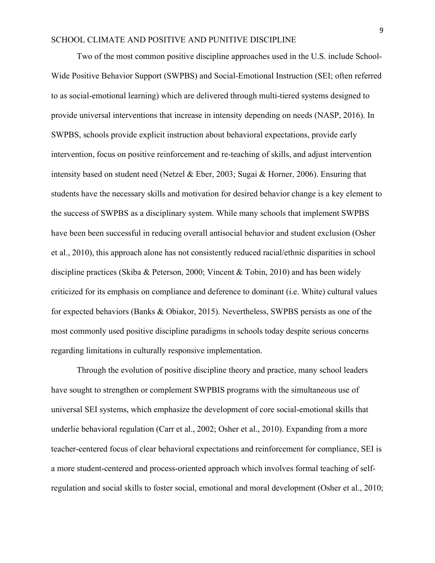Two of the most common positive discipline approaches used in the U.S. include School-Wide Positive Behavior Support (SWPBS) and Social-Emotional Instruction (SEI; often referred to as social-emotional learning) which are delivered through multi-tiered systems designed to provide universal interventions that increase in intensity depending on needs (NASP, 2016). In SWPBS, schools provide explicit instruction about behavioral expectations, provide early intervention, focus on positive reinforcement and re-teaching of skills, and adjust intervention intensity based on student need (Netzel & Eber, 2003; Sugai & Horner, 2006). Ensuring that students have the necessary skills and motivation for desired behavior change is a key element to the success of SWPBS as a disciplinary system. While many schools that implement SWPBS have been been successful in reducing overall antisocial behavior and student exclusion (Osher et al., 2010), this approach alone has not consistently reduced racial/ethnic disparities in school discipline practices (Skiba & Peterson, 2000; Vincent & Tobin, 2010) and has been widely criticized for its emphasis on compliance and deference to dominant (i.e. White) cultural values for expected behaviors (Banks & Obiakor, 2015). Nevertheless, SWPBS persists as one of the most commonly used positive discipline paradigms in schools today despite serious concerns regarding limitations in culturally responsive implementation.

Through the evolution of positive discipline theory and practice, many school leaders have sought to strengthen or complement SWPBIS programs with the simultaneous use of universal SEI systems, which emphasize the development of core social-emotional skills that underlie behavioral regulation (Carr et al., 2002; Osher et al., 2010). Expanding from a more teacher-centered focus of clear behavioral expectations and reinforcement for compliance, SEI is a more student-centered and process-oriented approach which involves formal teaching of selfregulation and social skills to foster social, emotional and moral development (Osher et al., 2010;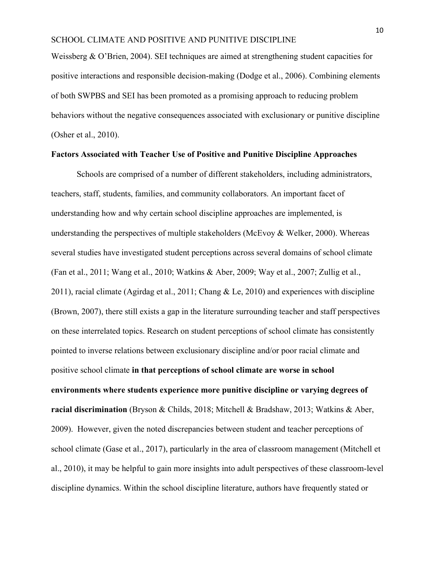Weissberg & O'Brien, 2004). SEI techniques are aimed at strengthening student capacities for positive interactions and responsible decision-making (Dodge et al., 2006). Combining elements of both SWPBS and SEI has been promoted as a promising approach to reducing problem behaviors without the negative consequences associated with exclusionary or punitive discipline (Osher et al., 2010).

#### **Factors Associated with Teacher Use of Positive and Punitive Discipline Approaches**

Schools are comprised of a number of different stakeholders, including administrators, teachers, staff, students, families, and community collaborators. An important facet of understanding how and why certain school discipline approaches are implemented, is understanding the perspectives of multiple stakeholders (McEvoy & Welker, 2000). Whereas several studies have investigated student perceptions across several domains of school climate (Fan et al., 2011; Wang et al., 2010; Watkins & Aber, 2009; Way et al., 2007; Zullig et al., 2011), racial climate (Agirdag et al., 2011; Chang & Le, 2010) and experiences with discipline (Brown, 2007), there still exists a gap in the literature surrounding teacher and staff perspectives on these interrelated topics. Research on student perceptions of school climate has consistently pointed to inverse relations between exclusionary discipline and/or poor racial climate and positive school climate **in that perceptions of school climate are worse in school environments where students experience more punitive discipline or varying degrees of racial discrimination** (Bryson & Childs, 2018; Mitchell & Bradshaw, 2013; Watkins & Aber, 2009). However, given the noted discrepancies between student and teacher perceptions of school climate (Gase et al., 2017), particularly in the area of classroom management (Mitchell et al., 2010), it may be helpful to gain more insights into adult perspectives of these classroom-level discipline dynamics. Within the school discipline literature, authors have frequently stated or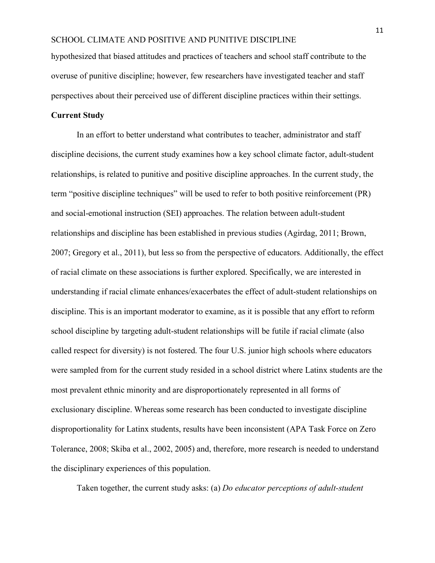hypothesized that biased attitudes and practices of teachers and school staff contribute to the overuse of punitive discipline; however, few researchers have investigated teacher and staff perspectives about their perceived use of different discipline practices within their settings.

## **Current Study**

In an effort to better understand what contributes to teacher, administrator and staff discipline decisions, the current study examines how a key school climate factor, adult-student relationships, is related to punitive and positive discipline approaches. In the current study, the term "positive discipline techniques" will be used to refer to both positive reinforcement (PR) and social-emotional instruction (SEI) approaches. The relation between adult-student relationships and discipline has been established in previous studies (Agirdag, 2011; Brown, 2007; Gregory et al., 2011), but less so from the perspective of educators. Additionally, the effect of racial climate on these associations is further explored. Specifically, we are interested in understanding if racial climate enhances/exacerbates the effect of adult-student relationships on discipline. This is an important moderator to examine, as it is possible that any effort to reform school discipline by targeting adult-student relationships will be futile if racial climate (also called respect for diversity) is not fostered. The four U.S. junior high schools where educators were sampled from for the current study resided in a school district where Latinx students are the most prevalent ethnic minority and are disproportionately represented in all forms of exclusionary discipline. Whereas some research has been conducted to investigate discipline disproportionality for Latinx students, results have been inconsistent (APA Task Force on Zero Tolerance, 2008; Skiba et al., 2002, 2005) and, therefore, more research is needed to understand the disciplinary experiences of this population.

Taken together, the current study asks: (a) *Do educator perceptions of adult-student*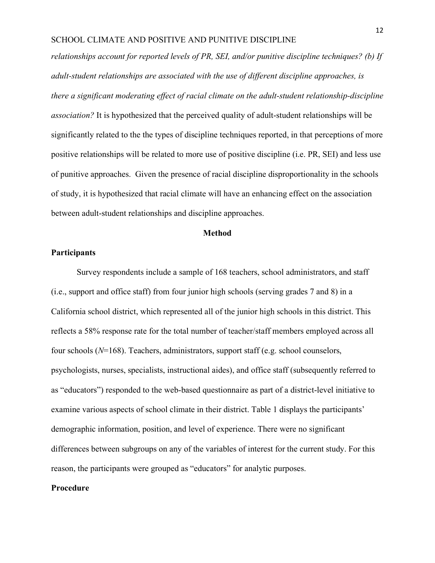*relationships account for reported levels of PR, SEI, and/or punitive discipline techniques? (b) If adult-student relationships are associated with the use of different discipline approaches, is there a significant moderating effect of racial climate on the adult-student relationship-discipline association?* It is hypothesized that the perceived quality of adult-student relationships will be significantly related to the the types of discipline techniques reported, in that perceptions of more positive relationships will be related to more use of positive discipline (i.e. PR, SEI) and less use of punitive approaches. Given the presence of racial discipline disproportionality in the schools of study, it is hypothesized that racial climate will have an enhancing effect on the association between adult-student relationships and discipline approaches.

### **Method**

# **Participants**

Survey respondents include a sample of 168 teachers, school administrators, and staff (i.e., support and office staff) from four junior high schools (serving grades 7 and 8) in a California school district, which represented all of the junior high schools in this district. This reflects a 58% response rate for the total number of teacher/staff members employed across all four schools (*N*=168). Teachers, administrators, support staff (e.g. school counselors, psychologists, nurses, specialists, instructional aides), and office staff (subsequently referred to as "educators") responded to the web-based questionnaire as part of a district-level initiative to examine various aspects of school climate in their district. Table 1 displays the participants' demographic information, position, and level of experience. There were no significant differences between subgroups on any of the variables of interest for the current study. For this reason, the participants were grouped as "educators" for analytic purposes.

## **Procedure**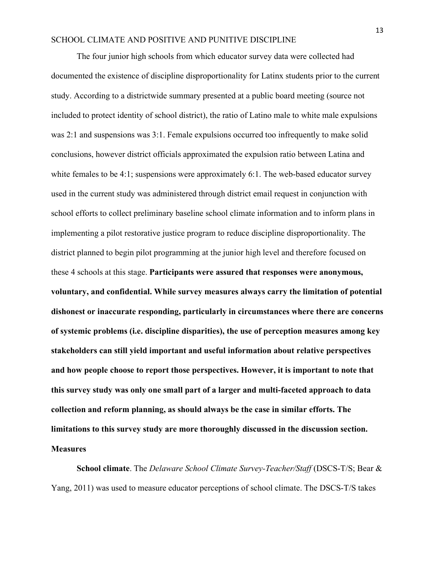The four junior high schools from which educator survey data were collected had documented the existence of discipline disproportionality for Latinx students prior to the current study. According to a districtwide summary presented at a public board meeting (source not included to protect identity of school district), the ratio of Latino male to white male expulsions was 2:1 and suspensions was 3:1. Female expulsions occurred too infrequently to make solid conclusions, however district officials approximated the expulsion ratio between Latina and white females to be 4:1; suspensions were approximately 6:1. The web-based educator survey used in the current study was administered through district email request in conjunction with school efforts to collect preliminary baseline school climate information and to inform plans in implementing a pilot restorative justice program to reduce discipline disproportionality. The district planned to begin pilot programming at the junior high level and therefore focused on these 4 schools at this stage. **Participants were assured that responses were anonymous, voluntary, and confidential. While survey measures always carry the limitation of potential dishonest or inaccurate responding, particularly in circumstances where there are concerns of systemic problems (i.e. discipline disparities), the use of perception measures among key stakeholders can still yield important and useful information about relative perspectives and how people choose to report those perspectives. However, it is important to note that this survey study was only one small part of a larger and multi-faceted approach to data collection and reform planning, as should always be the case in similar efforts. The limitations to this survey study are more thoroughly discussed in the discussion section. Measures**

**School climate**. The *Delaware School Climate Survey-Teacher/Staff* (DSCS-T/S; Bear & Yang, 2011) was used to measure educator perceptions of school climate. The DSCS-T/S takes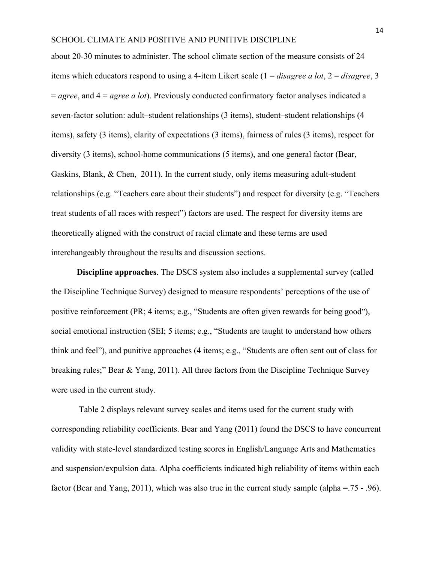about 20-30 minutes to administer. The school climate section of the measure consists of 24 items which educators respond to using a 4-item Likert scale (1 = *disagree a lot*, 2 = *disagree*, 3 = *agree*, and 4 = *agree a lot*). Previously conducted confirmatory factor analyses indicated a seven-factor solution: adult–student relationships (3 items), student–student relationships (4 items), safety (3 items), clarity of expectations (3 items), fairness of rules (3 items), respect for diversity (3 items), school-home communications (5 items), and one general factor (Bear, Gaskins, Blank, & Chen, 2011). In the current study, only items measuring adult-student relationships (e.g. "Teachers care about their students") and respect for diversity (e.g. "Teachers treat students of all races with respect") factors are used. The respect for diversity items are theoretically aligned with the construct of racial climate and these terms are used interchangeably throughout the results and discussion sections.

**Discipline approaches**. The DSCS system also includes a supplemental survey (called the Discipline Technique Survey) designed to measure respondents' perceptions of the use of positive reinforcement (PR; 4 items; e.g., "Students are often given rewards for being good"), social emotional instruction (SEI; 5 items; e.g., "Students are taught to understand how others think and feel"), and punitive approaches (4 items; e.g., "Students are often sent out of class for breaking rules;" Bear & Yang, 2011). All three factors from the Discipline Technique Survey were used in the current study.

Table 2 displays relevant survey scales and items used for the current study with corresponding reliability coefficients. Bear and Yang (2011) found the DSCS to have concurrent validity with state-level standardized testing scores in English/Language Arts and Mathematics and suspension/expulsion data. Alpha coefficients indicated high reliability of items within each factor (Bear and Yang, 2011), which was also true in the current study sample (alpha =.75 - .96).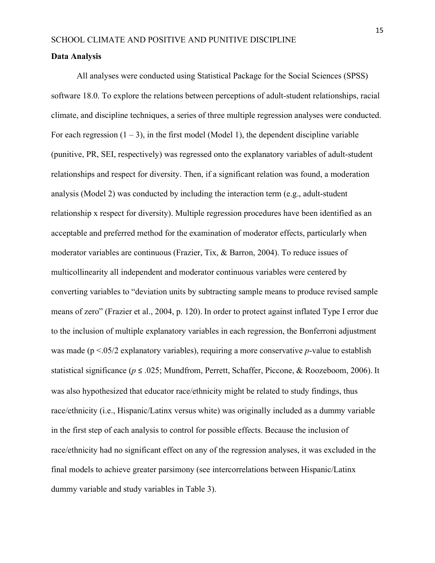#### **Data Analysis**

All analyses were conducted using Statistical Package for the Social Sciences (SPSS) software 18.0. To explore the relations between perceptions of adult-student relationships, racial climate, and discipline techniques, a series of three multiple regression analyses were conducted. For each regression  $(1 – 3)$ , in the first model (Model 1), the dependent discipline variable (punitive, PR, SEI, respectively) was regressed onto the explanatory variables of adult-student relationships and respect for diversity. Then, if a significant relation was found, a moderation analysis (Model 2) was conducted by including the interaction term (e.g., adult-student relationship x respect for diversity). Multiple regression procedures have been identified as an acceptable and preferred method for the examination of moderator effects, particularly when moderator variables are continuous (Frazier, Tix, & Barron, 2004). To reduce issues of multicollinearity all independent and moderator continuous variables were centered by converting variables to "deviation units by subtracting sample means to produce revised sample means of zero" (Frazier et al., 2004, p. 120). In order to protect against inflated Type I error due to the inclusion of multiple explanatory variables in each regression, the Bonferroni adjustment was made (p <.05/2 explanatory variables), requiring a more conservative *p*-value to establish statistical significance (*p* ≤ .025; Mundfrom, Perrett, Schaffer, Piccone, & Roozeboom, 2006). It was also hypothesized that educator race/ethnicity might be related to study findings, thus race/ethnicity (i.e., Hispanic/Latinx versus white) was originally included as a dummy variable in the first step of each analysis to control for possible effects. Because the inclusion of race/ethnicity had no significant effect on any of the regression analyses, it was excluded in the final models to achieve greater parsimony (see intercorrelations between Hispanic/Latinx dummy variable and study variables in Table 3).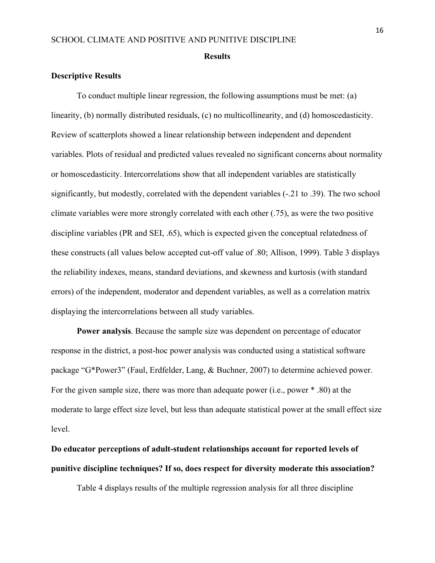#### **Results**

#### **Descriptive Results**

To conduct multiple linear regression, the following assumptions must be met: (a) linearity, (b) normally distributed residuals, (c) no multicollinearity, and (d) homoscedasticity. Review of scatterplots showed a linear relationship between independent and dependent variables. Plots of residual and predicted values revealed no significant concerns about normality or homoscedasticity. Intercorrelations show that all independent variables are statistically significantly, but modestly, correlated with the dependent variables (-.21 to .39). The two school climate variables were more strongly correlated with each other (.75), as were the two positive discipline variables (PR and SEI, .65), which is expected given the conceptual relatedness of these constructs (all values below accepted cut-off value of .80; Allison, 1999). Table 3 displays the reliability indexes, means, standard deviations, and skewness and kurtosis (with standard errors) of the independent, moderator and dependent variables, as well as a correlation matrix displaying the intercorrelations between all study variables.

**Power analysis**. Because the sample size was dependent on percentage of educator response in the district, a post-hoc power analysis was conducted using a statistical software package "G\*Power3" (Faul, Erdfelder, Lang, & Buchner, 2007) to determine achieved power. For the given sample size, there was more than adequate power (i.e., power \* .80) at the moderate to large effect size level, but less than adequate statistical power at the small effect size level.

# **Do educator perceptions of adult-student relationships account for reported levels of punitive discipline techniques? If so, does respect for diversity moderate this association?**

Table 4 displays results of the multiple regression analysis for all three discipline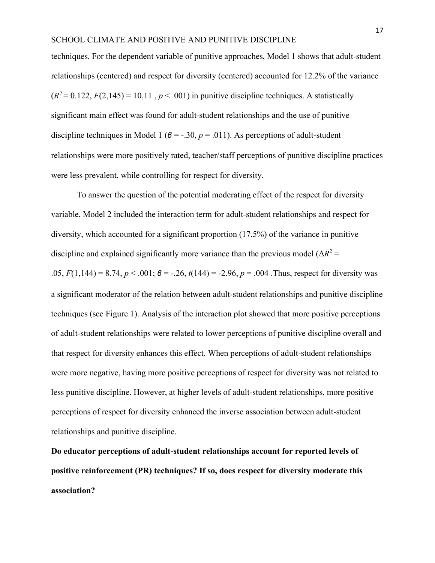techniques. For the dependent variable of punitive approaches, Model 1 shows that adult-student relationships (centered) and respect for diversity (centered) accounted for 12.2% of the variance  $(R^2 = 0.122, F(2.145) = 10.11, p < .001$  in punitive discipline techniques. A statistically significant main effect was found for adult-student relationships and the use of punitive discipline techniques in Model 1 ( $\beta$  = -.30,  $p$  = .011). As perceptions of adult-student relationships were more positively rated, teacher/staff perceptions of punitive discipline practices were less prevalent, while controlling for respect for diversity.

To answer the question of the potential moderating effect of the respect for diversity variable, Model 2 included the interaction term for adult-student relationships and respect for diversity, which accounted for a significant proportion (17.5%) of the variance in punitive discipline and explained significantly more variance than the previous model ( $\Delta R^2$  = .05,  $F(1,144) = 8.74$ ,  $p < .001$ ;  $\theta = -.26$ ,  $t(144) = .2.96$ ,  $p = .004$ . Thus, respect for diversity was a significant moderator of the relation between adult-student relationships and punitive discipline techniques (see Figure 1). Analysis of the interaction plot showed that more positive perceptions of adult-student relationships were related to lower perceptions of punitive discipline overall and that respect for diversity enhances this effect. When perceptions of adult-student relationships were more negative, having more positive perceptions of respect for diversity was not related to less punitive discipline. However, at higher levels of adult-student relationships, more positive perceptions of respect for diversity enhanced the inverse association between adult-student relationships and punitive discipline.

**Do educator perceptions of adult-student relationships account for reported levels of positive reinforcement (PR) techniques? If so, does respect for diversity moderate this association?**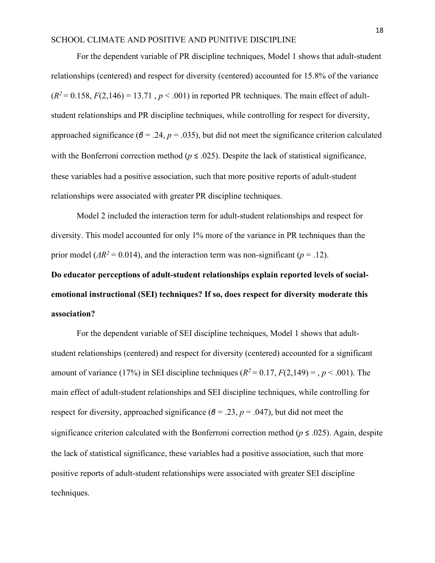For the dependent variable of PR discipline techniques, Model 1 shows that adult-student relationships (centered) and respect for diversity (centered) accounted for 15.8% of the variance  $(R^2 = 0.158, F(2,146) = 13.71, p < .001)$  in reported PR techniques. The main effect of adultstudent relationships and PR discipline techniques, while controlling for respect for diversity, approached significance ( $\beta$  = .24,  $p$  = .035), but did not meet the significance criterion calculated with the Bonferroni correction method ( $p \le 0.025$ ). Despite the lack of statistical significance, these variables had a positive association, such that more positive reports of adult-student relationships were associated with greater PR discipline techniques.

Model 2 included the interaction term for adult-student relationships and respect for diversity. This model accounted for only 1% more of the variance in PR techniques than the prior model ( $\Delta R^2 = 0.014$ ), and the interaction term was non-significant ( $p = .12$ ).

**Do educator perceptions of adult-student relationships explain reported levels of socialemotional instructional (SEI) techniques? If so, does respect for diversity moderate this association?**

For the dependent variable of SEI discipline techniques, Model 1 shows that adultstudent relationships (centered) and respect for diversity (centered) accounted for a significant amount of variance (17%) in SEI discipline techniques  $(R^2 = 0.17, F(2.149) = 0.966, p < 0.001$ . The main effect of adult-student relationships and SEI discipline techniques, while controlling for respect for diversity, approached significance ( $\beta$  = .23,  $p$  = .047), but did not meet the significance criterion calculated with the Bonferroni correction method (*p* ≤ .025). Again, despite the lack of statistical significance, these variables had a positive association, such that more positive reports of adult-student relationships were associated with greater SEI discipline techniques.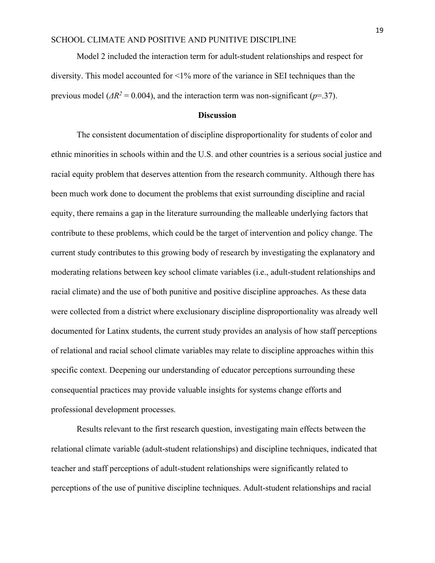Model 2 included the interaction term for adult-student relationships and respect for diversity. This model accounted for <1% more of the variance in SEI techniques than the previous model ( $\Delta R^2$  = 0.004), and the interaction term was non-significant (*p*=.37).

#### **Discussion**

The consistent documentation of discipline disproportionality for students of color and ethnic minorities in schools within and the U.S. and other countries is a serious social justice and racial equity problem that deserves attention from the research community. Although there has been much work done to document the problems that exist surrounding discipline and racial equity, there remains a gap in the literature surrounding the malleable underlying factors that contribute to these problems, which could be the target of intervention and policy change. The current study contributes to this growing body of research by investigating the explanatory and moderating relations between key school climate variables (i.e., adult-student relationships and racial climate) and the use of both punitive and positive discipline approaches. As these data were collected from a district where exclusionary discipline disproportionality was already well documented for Latinx students, the current study provides an analysis of how staff perceptions of relational and racial school climate variables may relate to discipline approaches within this specific context. Deepening our understanding of educator perceptions surrounding these consequential practices may provide valuable insights for systems change efforts and professional development processes.

Results relevant to the first research question, investigating main effects between the relational climate variable (adult-student relationships) and discipline techniques, indicated that teacher and staff perceptions of adult-student relationships were significantly related to perceptions of the use of punitive discipline techniques. Adult-student relationships and racial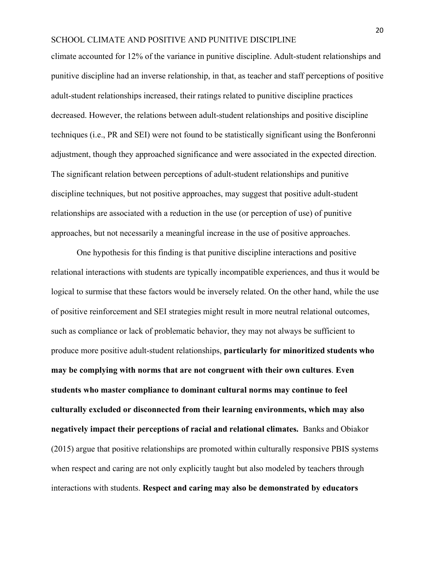climate accounted for 12% of the variance in punitive discipline. Adult-student relationships and punitive discipline had an inverse relationship, in that, as teacher and staff perceptions of positive adult-student relationships increased, their ratings related to punitive discipline practices decreased. However, the relations between adult-student relationships and positive discipline techniques (i.e., PR and SEI) were not found to be statistically significant using the Bonferonni adjustment, though they approached significance and were associated in the expected direction. The significant relation between perceptions of adult-student relationships and punitive discipline techniques, but not positive approaches, may suggest that positive adult-student relationships are associated with a reduction in the use (or perception of use) of punitive approaches, but not necessarily a meaningful increase in the use of positive approaches.

One hypothesis for this finding is that punitive discipline interactions and positive relational interactions with students are typically incompatible experiences, and thus it would be logical to surmise that these factors would be inversely related. On the other hand, while the use of positive reinforcement and SEI strategies might result in more neutral relational outcomes, such as compliance or lack of problematic behavior, they may not always be sufficient to produce more positive adult-student relationships, **particularly for minoritized students who may be complying with norms that are not congruent with their own cultures**. **Even students who master compliance to dominant cultural norms may continue to feel culturally excluded or disconnected from their learning environments, which may also negatively impact their perceptions of racial and relational climates.** Banks and Obiakor (2015) argue that positive relationships are promoted within culturally responsive PBIS systems when respect and caring are not only explicitly taught but also modeled by teachers through interactions with students. **Respect and caring may also be demonstrated by educators**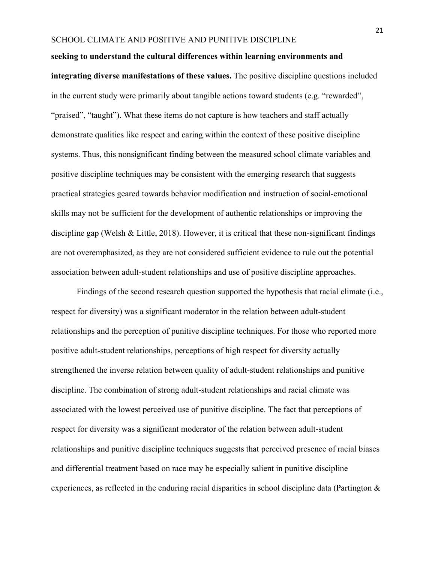#### **seeking to understand the cultural differences within learning environments and**

**integrating diverse manifestations of these values.** The positive discipline questions included in the current study were primarily about tangible actions toward students (e.g. "rewarded", "praised", "taught"). What these items do not capture is how teachers and staff actually demonstrate qualities like respect and caring within the context of these positive discipline systems. Thus, this nonsignificant finding between the measured school climate variables and positive discipline techniques may be consistent with the emerging research that suggests practical strategies geared towards behavior modification and instruction of social-emotional skills may not be sufficient for the development of authentic relationships or improving the discipline gap (Welsh & Little, 2018). However, it is critical that these non-significant findings are not overemphasized, as they are not considered sufficient evidence to rule out the potential association between adult-student relationships and use of positive discipline approaches.

Findings of the second research question supported the hypothesis that racial climate (i.e., respect for diversity) was a significant moderator in the relation between adult-student relationships and the perception of punitive discipline techniques. For those who reported more positive adult-student relationships, perceptions of high respect for diversity actually strengthened the inverse relation between quality of adult-student relationships and punitive discipline. The combination of strong adult-student relationships and racial climate was associated with the lowest perceived use of punitive discipline. The fact that perceptions of respect for diversity was a significant moderator of the relation between adult-student relationships and punitive discipline techniques suggests that perceived presence of racial biases and differential treatment based on race may be especially salient in punitive discipline experiences, as reflected in the enduring racial disparities in school discipline data (Partington  $\&$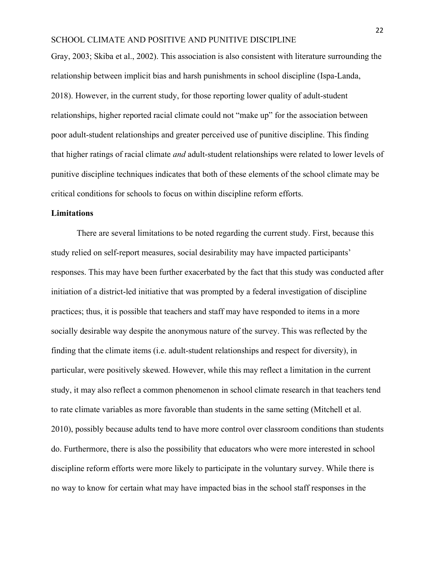Gray, 2003; Skiba et al., 2002). This association is also consistent with literature surrounding the relationship between implicit bias and harsh punishments in school discipline (Ispa-Landa, 2018). However, in the current study, for those reporting lower quality of adult-student relationships, higher reported racial climate could not "make up" for the association between poor adult-student relationships and greater perceived use of punitive discipline. This finding that higher ratings of racial climate *and* adult-student relationships were related to lower levels of punitive discipline techniques indicates that both of these elements of the school climate may be critical conditions for schools to focus on within discipline reform efforts.

## **Limitations**

There are several limitations to be noted regarding the current study. First, because this study relied on self-report measures, social desirability may have impacted participants' responses. This may have been further exacerbated by the fact that this study was conducted after initiation of a district-led initiative that was prompted by a federal investigation of discipline practices; thus, it is possible that teachers and staff may have responded to items in a more socially desirable way despite the anonymous nature of the survey. This was reflected by the finding that the climate items (i.e. adult-student relationships and respect for diversity), in particular, were positively skewed. However, while this may reflect a limitation in the current study, it may also reflect a common phenomenon in school climate research in that teachers tend to rate climate variables as more favorable than students in the same setting (Mitchell et al. 2010), possibly because adults tend to have more control over classroom conditions than students do. Furthermore, there is also the possibility that educators who were more interested in school discipline reform efforts were more likely to participate in the voluntary survey. While there is no way to know for certain what may have impacted bias in the school staff responses in the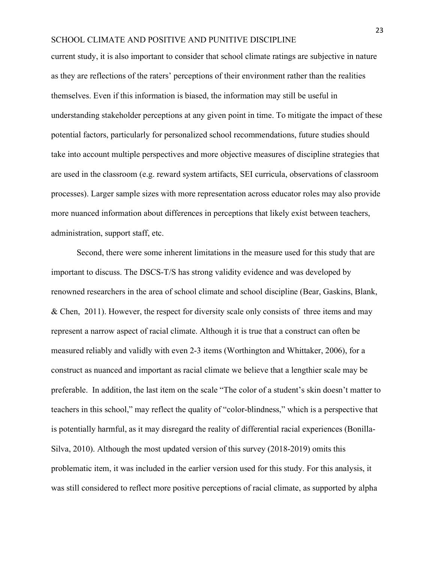current study, it is also important to consider that school climate ratings are subjective in nature as they are reflections of the raters' perceptions of their environment rather than the realities themselves. Even if this information is biased, the information may still be useful in understanding stakeholder perceptions at any given point in time. To mitigate the impact of these potential factors, particularly for personalized school recommendations, future studies should take into account multiple perspectives and more objective measures of discipline strategies that are used in the classroom (e.g. reward system artifacts, SEI curricula, observations of classroom processes). Larger sample sizes with more representation across educator roles may also provide more nuanced information about differences in perceptions that likely exist between teachers, administration, support staff, etc.

Second, there were some inherent limitations in the measure used for this study that are important to discuss. The DSCS-T/S has strong validity evidence and was developed by renowned researchers in the area of school climate and school discipline (Bear, Gaskins, Blank, & Chen, 2011). However, the respect for diversity scale only consists of three items and may represent a narrow aspect of racial climate. Although it is true that a construct can often be measured reliably and validly with even 2-3 items (Worthington and Whittaker, 2006), for a construct as nuanced and important as racial climate we believe that a lengthier scale may be preferable. In addition, the last item on the scale "The color of a student's skin doesn't matter to teachers in this school," may reflect the quality of "color-blindness," which is a perspective that is potentially harmful, as it may disregard the reality of differential racial experiences (Bonilla-Silva, 2010). Although the most updated version of this survey (2018-2019) omits this problematic item, it was included in the earlier version used for this study. For this analysis, it was still considered to reflect more positive perceptions of racial climate, as supported by alpha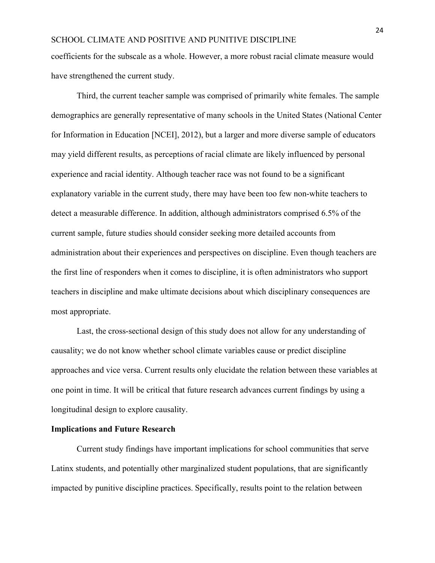coefficients for the subscale as a whole. However, a more robust racial climate measure would have strengthened the current study.

Third, the current teacher sample was comprised of primarily white females. The sample demographics are generally representative of many schools in the United States (National Center for Information in Education [NCEI], 2012), but a larger and more diverse sample of educators may yield different results, as perceptions of racial climate are likely influenced by personal experience and racial identity. Although teacher race was not found to be a significant explanatory variable in the current study, there may have been too few non-white teachers to detect a measurable difference. In addition, although administrators comprised 6.5% of the current sample, future studies should consider seeking more detailed accounts from administration about their experiences and perspectives on discipline. Even though teachers are the first line of responders when it comes to discipline, it is often administrators who support teachers in discipline and make ultimate decisions about which disciplinary consequences are most appropriate.

Last, the cross-sectional design of this study does not allow for any understanding of causality; we do not know whether school climate variables cause or predict discipline approaches and vice versa. Current results only elucidate the relation between these variables at one point in time. It will be critical that future research advances current findings by using a longitudinal design to explore causality.

#### **Implications and Future Research**

Current study findings have important implications for school communities that serve Latinx students, and potentially other marginalized student populations, that are significantly impacted by punitive discipline practices. Specifically, results point to the relation between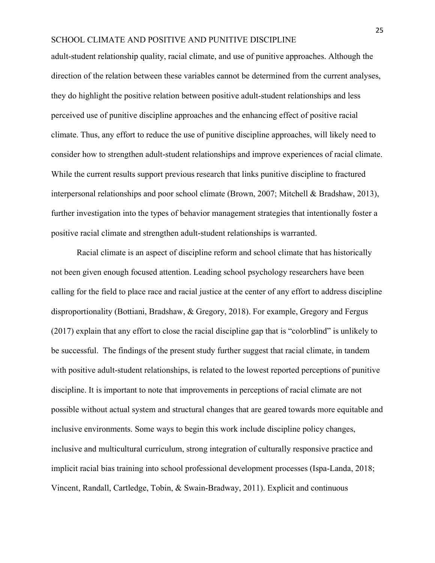adult-student relationship quality, racial climate, and use of punitive approaches. Although the direction of the relation between these variables cannot be determined from the current analyses, they do highlight the positive relation between positive adult-student relationships and less perceived use of punitive discipline approaches and the enhancing effect of positive racial climate. Thus, any effort to reduce the use of punitive discipline approaches, will likely need to consider how to strengthen adult-student relationships and improve experiences of racial climate. While the current results support previous research that links punitive discipline to fractured interpersonal relationships and poor school climate (Brown, 2007; Mitchell & Bradshaw, 2013), further investigation into the types of behavior management strategies that intentionally foster a positive racial climate and strengthen adult-student relationships is warranted.

Racial climate is an aspect of discipline reform and school climate that has historically not been given enough focused attention. Leading school psychology researchers have been calling for the field to place race and racial justice at the center of any effort to address discipline disproportionality (Bottiani, Bradshaw, & Gregory, 2018). For example, Gregory and Fergus (2017) explain that any effort to close the racial discipline gap that is "colorblind" is unlikely to be successful. The findings of the present study further suggest that racial climate, in tandem with positive adult-student relationships, is related to the lowest reported perceptions of punitive discipline. It is important to note that improvements in perceptions of racial climate are not possible without actual system and structural changes that are geared towards more equitable and inclusive environments. Some ways to begin this work include discipline policy changes, inclusive and multicultural curriculum, strong integration of culturally responsive practice and implicit racial bias training into school professional development processes (Ispa-Landa, 2018; Vincent, Randall, Cartledge, Tobin, & Swain-Bradway, 2011). Explicit and continuous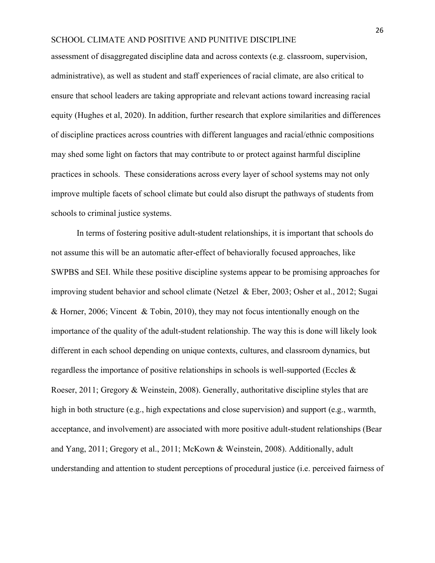assessment of disaggregated discipline data and across contexts (e.g. classroom, supervision, administrative), as well as student and staff experiences of racial climate, are also critical to ensure that school leaders are taking appropriate and relevant actions toward increasing racial equity (Hughes et al, 2020). In addition, further research that explore similarities and differences of discipline practices across countries with different languages and racial/ethnic compositions may shed some light on factors that may contribute to or protect against harmful discipline practices in schools. These considerations across every layer of school systems may not only improve multiple facets of school climate but could also disrupt the pathways of students from schools to criminal justice systems.

In terms of fostering positive adult-student relationships, it is important that schools do not assume this will be an automatic after-effect of behaviorally focused approaches, like SWPBS and SEI. While these positive discipline systems appear to be promising approaches for improving student behavior and school climate (Netzel & Eber, 2003; Osher et al., 2012; Sugai & Horner, 2006; Vincent & Tobin, 2010), they may not focus intentionally enough on the importance of the quality of the adult-student relationship. The way this is done will likely look different in each school depending on unique contexts, cultures, and classroom dynamics, but regardless the importance of positive relationships in schools is well-supported (Eccles & Roeser, 2011; Gregory & Weinstein, 2008). Generally, authoritative discipline styles that are high in both structure (e.g., high expectations and close supervision) and support (e.g., warmth, acceptance, and involvement) are associated with more positive adult-student relationships (Bear and Yang, 2011; Gregory et al., 2011; McKown & Weinstein, 2008). Additionally, adult understanding and attention to student perceptions of procedural justice (i.e. perceived fairness of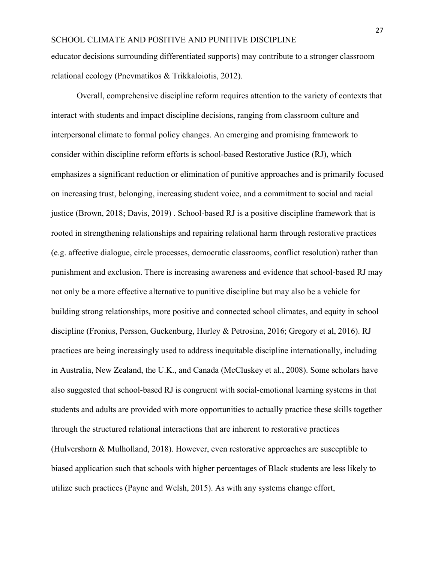educator decisions surrounding differentiated supports) may contribute to a stronger classroom relational ecology (Pnevmatikos & Trikkaloiotis, 2012).

Overall, comprehensive discipline reform requires attention to the variety of contexts that interact with students and impact discipline decisions, ranging from classroom culture and interpersonal climate to formal policy changes. An emerging and promising framework to consider within discipline reform efforts is school-based Restorative Justice (RJ), which emphasizes a significant reduction or elimination of punitive approaches and is primarily focused on increasing trust, belonging, increasing student voice, and a commitment to social and racial justice (Brown, 2018; Davis, 2019) . School-based RJ is a positive discipline framework that is rooted in strengthening relationships and repairing relational harm through restorative practices (e.g. affective dialogue, circle processes, democratic classrooms, conflict resolution) rather than punishment and exclusion. There is increasing awareness and evidence that school-based RJ may not only be a more effective alternative to punitive discipline but may also be a vehicle for building strong relationships, more positive and connected school climates, and equity in school discipline (Fronius, Persson, Guckenburg, Hurley & Petrosina, 2016; Gregory et al, 2016). RJ practices are being increasingly used to address inequitable discipline internationally, including in Australia, New Zealand, the U.K., and Canada (McCluskey et al., 2008). Some scholars have also suggested that school-based RJ is congruent with social-emotional learning systems in that students and adults are provided with more opportunities to actually practice these skills together through the structured relational interactions that are inherent to restorative practices (Hulvershorn & Mulholland, 2018). However, even restorative approaches are susceptible to biased application such that schools with higher percentages of Black students are less likely to utilize such practices (Payne and Welsh, 2015). As with any systems change effort,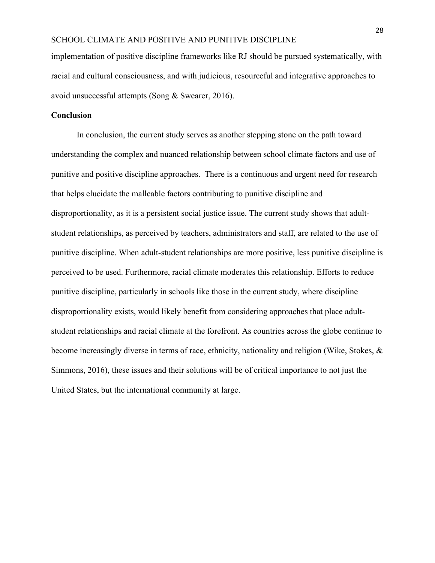implementation of positive discipline frameworks like RJ should be pursued systematically, with racial and cultural consciousness, and with judicious, resourceful and integrative approaches to avoid unsuccessful attempts (Song & Swearer, 2016).

## **Conclusion**

In conclusion, the current study serves as another stepping stone on the path toward understanding the complex and nuanced relationship between school climate factors and use of punitive and positive discipline approaches. There is a continuous and urgent need for research that helps elucidate the malleable factors contributing to punitive discipline and disproportionality, as it is a persistent social justice issue. The current study shows that adultstudent relationships, as perceived by teachers, administrators and staff, are related to the use of punitive discipline. When adult-student relationships are more positive, less punitive discipline is perceived to be used. Furthermore, racial climate moderates this relationship. Efforts to reduce punitive discipline, particularly in schools like those in the current study, where discipline disproportionality exists, would likely benefit from considering approaches that place adultstudent relationships and racial climate at the forefront. As countries across the globe continue to become increasingly diverse in terms of race, ethnicity, nationality and religion (Wike, Stokes, & Simmons, 2016), these issues and their solutions will be of critical importance to not just the United States, but the international community at large.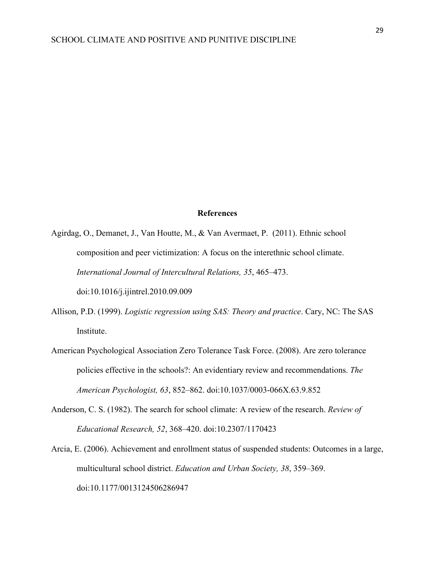### **References**

Agirdag, O., Demanet, J., Van Houtte, M., & Van Avermaet, P. (2011). Ethnic school composition and peer victimization: A focus on the interethnic school climate. *International Journal of Intercultural Relations, 35*, 465–473.

doi:10.1016/j.ijintrel.2010.09.009

- Allison, P.D. (1999). *Logistic regression using SAS: Theory and practice*. Cary, NC: The SAS Institute.
- American Psychological Association Zero Tolerance Task Force. (2008). Are zero tolerance policies effective in the schools?: An evidentiary review and recommendations. *The American Psychologist, 63*, 852–862. doi:10.1037/0003-066X.63.9.852
- Anderson, C. S. (1982). The search for school climate: A review of the research. *Review of Educational Research, 52*, 368–420. doi:10.2307/1170423
- Arcia, E. (2006). Achievement and enrollment status of suspended students: Outcomes in a large, multicultural school district. *Education and Urban Society, 38*, 359–369. doi:10.1177/0013124506286947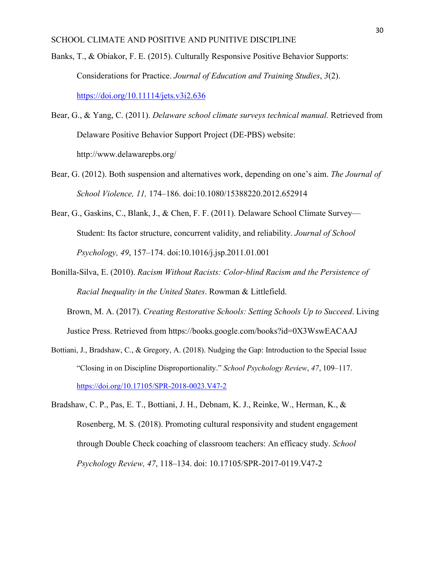- Banks, T., & Obiakor, F. E. (2015). Culturally Responsive Positive Behavior Supports: Considerations for Practice. *Journal of Education and Training Studies*, *3*(2). <https://doi.org/10.11114/jets.v3i2.636>
- Bear, G., & Yang, C. (2011). *Delaware school climate surveys technical manual.* Retrieved from Delaware Positive Behavior Support Project (DE-PBS) website: http://www.delawarepbs.org/
- Bear, G. (2012). Both suspension and alternatives work, depending on one's aim. *The Journal of School Violence, 11,* 174–186. doi:10.1080/15388220.2012.652914
- Bear, G., Gaskins, C., Blank, J., & Chen, F. F. (2011). Delaware School Climate Survey— Student: Its factor structure, concurrent validity, and reliability. *Journal of School Psychology, 49*, 157–174. doi:10.1016/j.jsp.2011.01.001
- Bonilla-Silva, E. (2010). *Racism Without Racists: Color-blind Racism and the Persistence of Racial Inequality in the United States*. Rowman & Littlefield.

Brown, M. A. (2017). *Creating Restorative Schools: Setting Schools Up to Succeed*. Living Justice Press. Retrieved from https://books.google.com/books?id=0X3WswEACAAJ

- Bottiani, J., Bradshaw, C., & Gregory, A. (2018). Nudging the Gap: Introduction to the Special Issue "Closing in on Discipline Disproportionality." *School Psychology Review*, *47*, 109–117. <https://doi.org/10.17105/SPR-2018-0023.V47-2>
- Bradshaw, C. P., Pas, E. T., Bottiani, J. H., Debnam, K. J., Reinke, W., Herman, K., & Rosenberg, M. S. (2018). Promoting cultural responsivity and student engagement through Double Check coaching of classroom teachers: An efficacy study. *School Psychology Review, 47*, 118–134. doi: 10.17105/SPR-2017-0119.V47-2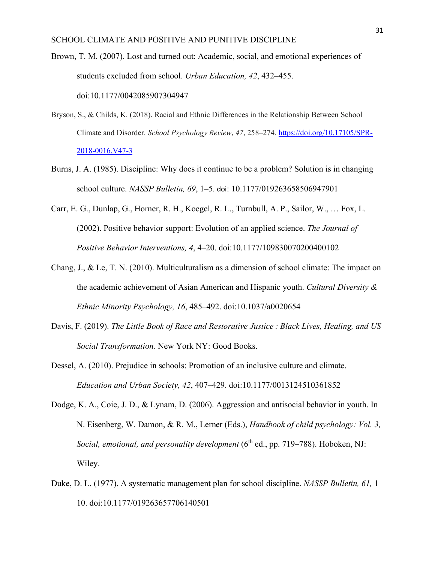Brown, T. M. (2007). Lost and turned out: Academic, social, and emotional experiences of students excluded from school. *Urban Education, 42*, 432–455. doi:10.1177/0042085907304947

- Bryson, S., & Childs, K. (2018). Racial and Ethnic Differences in the Relationship Between School Climate and Disorder. *School Psychology Review*, *47*, 258–274. [https://doi.org/10.17105/SPR-](https://doi.org/10.17105/SPR-2018-0016.V47-3)[2018-0016.V47-3](https://doi.org/10.17105/SPR-2018-0016.V47-3)
- Burns, J. A. (1985). Discipline: Why does it continue to be a problem? Solution is in changing school culture. *NASSP Bulletin, 69*, 1–5. doi: 10.1177/019263658506947901
- Carr, E. G., Dunlap, G., Horner, R. H., Koegel, R. L., Turnbull, A. P., Sailor, W., … Fox, L. (2002). Positive behavior support: Evolution of an applied science. *The Journal of Positive Behavior Interventions, 4*, 4–20. doi:10.1177/109830070200400102
- Chang, J., & Le, T. N. (2010). Multiculturalism as a dimension of school climate: The impact on the academic achievement of Asian American and Hispanic youth. *Cultural Diversity & Ethnic Minority Psychology, 16*, 485–492. doi:10.1037/a0020654
- Davis, F. (2019). *The Little Book of Race and Restorative Justice : Black Lives, Healing, and US Social Transformation*. New York NY: Good Books.
- Dessel, A. (2010). Prejudice in schools: Promotion of an inclusive culture and climate. *Education and Urban Society, 42*, 407–429. doi:10.1177/0013124510361852
- Dodge, K. A., Coie, J. D., & Lynam, D. (2006). Aggression and antisocial behavior in youth. In N. Eisenberg, W. Damon, & R. M., Lerner (Eds.), *Handbook of child psychology: Vol. 3, Social, emotional, and personality development* (6<sup>th</sup> ed., pp. 719–788). Hoboken, NJ: Wiley.
- Duke, D. L. (1977). A systematic management plan for school discipline. *NASSP Bulletin, 61,* 1– 10. doi:10.1177/019263657706140501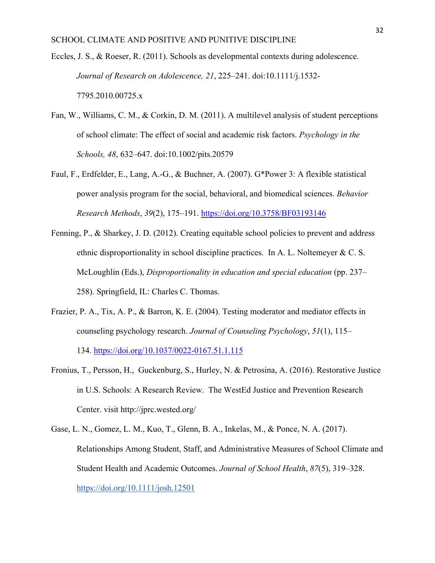- Eccles, J. S., & Roeser, R. (2011). Schools as developmental contexts during adolescence. *Journal of Research on Adolescence, 21*, 225–241. doi:10.1111/j.1532- 7795.2010.00725.x
- Fan, W., Williams, C. M., & Corkin, D. M. (2011). A multilevel analysis of student perceptions of school climate: The effect of social and academic risk factors. *Psychology in the Schools, 48*, 632–647. doi:10.1002/pits.20579
- Faul, F., Erdfelder, E., Lang, A.-G., & Buchner, A. (2007). G\*Power 3: A flexible statistical power analysis program for the social, behavioral, and biomedical sciences. *Behavior Research Methods*, *39*(2), 175–191. <https://doi.org/10.3758/BF03193146>
- Fenning, P., & Sharkey, J. D. (2012). Creating equitable school policies to prevent and address ethnic disproportionality in school discipline practices. In A. L. Noltemeyer  $\& C. S.$ McLoughlin (Eds.), *Disproportionality in education and special education* (pp. 237– 258). Springfield, IL: Charles C. Thomas.
- Frazier, P. A., Tix, A. P., & Barron, K. E. (2004). Testing moderator and mediator effects in counseling psychology research. *Journal of Counseling Psychology*, *51*(1), 115– 134. <https://doi.org/10.1037/0022-0167.51.1.115>
- Fronius, T., Persson, H., Guckenburg, S., Hurley, N. & Petrosina, A. (2016). Restorative Justice in U.S. Schools: A Research Review. The WestEd Justice and Prevention Research Center. visit http://jprc.wested.org/
- Gase, L. N., Gomez, L. M., Kuo, T., Glenn, B. A., Inkelas, M., & Ponce, N. A. (2017). Relationships Among Student, Staff, and Administrative Measures of School Climate and Student Health and Academic Outcomes. *Journal of School Health*, *87*(5), 319–328. <https://doi.org/10.1111/josh.12501>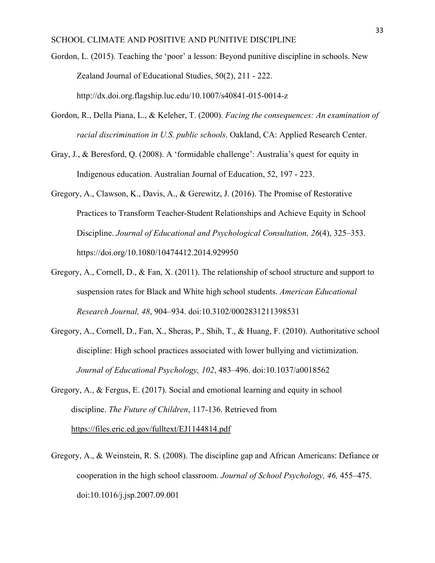Gordon, L. (2015). Teaching the 'poor' a lesson: Beyond punitive discipline in schools. New Zealand Journal of Educational Studies, 50(2), 211 - 222. <http://dx.doi.org.flagship.luc.edu/10.1007/s40841-015-0014-z>

- Gordon, R., Della Piana, L., & Keleher, T. (2000). *Facing the consequences: An examination of racial discrimination in U.S. public schools*. Oakland, CA: Applied Research Center.
- Gray, J., & Beresford, Q. (2008). A 'formidable challenge': Australia's quest for equity in Indigenous education. Australian Journal of Education, 52, 197 - 223.
- Gregory, A., Clawson, K., Davis, A., & Gerewitz, J. (2016). The Promise of Restorative Practices to Transform Teacher-Student Relationships and Achieve Equity in School Discipline. *Journal of Educational and Psychological Consultation, 26*(4), 325–353. https://doi.org/10.1080/10474412.2014.929950
- Gregory, A., Cornell, D., & Fan, X. (2011). The relationship of school structure and support to suspension rates for Black and White high school students. *American Educational Research Journal, 48*, 904–934. doi:10.3102/0002831211398531
- Gregory, A., Cornell, D., Fan, X., Sheras, P., Shih, T., & Huang, F. (2010). Authoritative school discipline: High school practices associated with lower bullying and victimization. *Journal of Educational Psychology, 102*, 483–496. doi:10.1037/a0018562
- Gregory, A., & Fergus, E. (2017). Social and emotional learning and equity in school discipline. *The Future of Children*, 117-136. Retrieved from <https://files.eric.ed.gov/fulltext/EJ1144814.pdf>
- Gregory, A., & Weinstein, R. S. (2008). The discipline gap and African Americans: Defiance or cooperation in the high school classroom. *Journal of School Psychology, 46,* 455–475. doi:10.1016/j.jsp.2007.09.001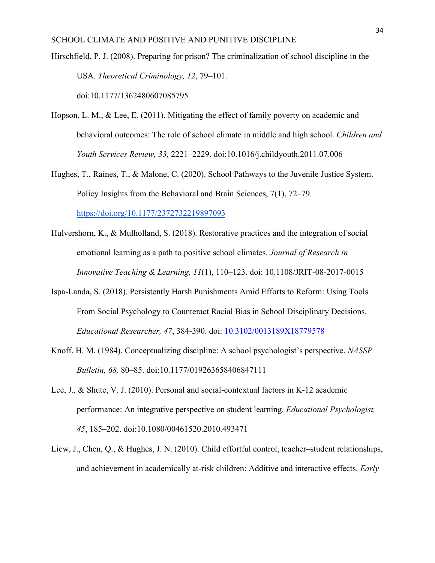- Hirschfield, P. J. (2008). Preparing for prison? The criminalization of school discipline in the USA. *Theoretical Criminology, 12*, 79–101. doi:10.1177/1362480607085795
- Hopson, L. M., & Lee, E. (2011). Mitigating the effect of family poverty on academic and behavioral outcomes: The role of school climate in middle and high school. *Children and Youth Services Review, 33,* 2221–2229. doi:10.1016/j.childyouth.2011.07.006
- Hughes, T., Raines, T., & Malone, C. (2020). School Pathways to the Juvenile Justice System. Policy Insights from the Behavioral and Brain Sciences, 7(1), 72–79. <https://doi.org/10.1177/2372732219897093>
- Hulvershorn, K., & Mulholland, S. (2018). Restorative practices and the integration of social emotional learning as a path to positive school climates. *Journal of Research in Innovative Teaching & Learning, 11*(1), 110–123. doi: 10.1108/JRIT-08-2017-0015
- Ispa-Landa, S. (2018). Persistently Harsh Punishments Amid Efforts to Reform: Using Tools From Social Psychology to Counteract Racial Bias in School Disciplinary Decisions. *Educational Researcher, 47*, 384-390. doi: [10.3102/0013189X18779578](https://doi.org/10.3102/0013189X18779578)
- Knoff, H. M. (1984). Conceptualizing discipline: A school psychologist's perspective. *NASSP Bulletin, 68,* 80–85. doi:10.1177/019263658406847111
- Lee, J., & Shute, V. J. (2010). Personal and social-contextual factors in K-12 academic performance: An integrative perspective on student learning. *Educational Psychologist, 45*, 185–202. doi:10.1080/00461520.2010.493471
- Liew, J., Chen, Q., & Hughes, J. N. (2010). Child effortful control, teacher–student relationships, and achievement in academically at-risk children: Additive and interactive effects. *Early*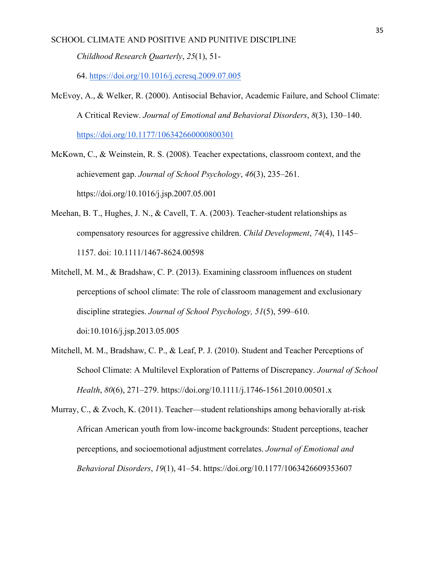*Childhood Research Quarterly*, *25*(1), 51-

64. <https://doi.org/10.1016/j.ecresq.2009.07.005>

- McEvoy, A., & Welker, R. (2000). Antisocial Behavior, Academic Failure, and School Climate: A Critical Review. *Journal of Emotional and Behavioral Disorders*, *8*(3), 130–140. <https://doi.org/10.1177/106342660000800301>
- McKown, C., & Weinstein, R. S. (2008). Teacher expectations, classroom context, and the achievement gap. *Journal of School Psychology*, *46*(3), 235–261. https://doi.org/10.1016/j.jsp.2007.05.001
- Meehan, B. T., Hughes, J. N., & Cavell, T. A. (2003). Teacher-student relationships as compensatory resources for aggressive children. *Child Development*, *74*(4), 1145– 1157. doi: 10.1111/1467-8624.00598
- Mitchell, M. M., & Bradshaw, C. P. (2013). Examining classroom influences on student perceptions of school climate: The role of classroom management and exclusionary discipline strategies. *Journal of School Psychology, 51*(5), 599–610. doi:10.1016/j.jsp.2013.05.005
- Mitchell, M. M., Bradshaw, C. P., & Leaf, P. J. (2010). Student and Teacher Perceptions of School Climate: A Multilevel Exploration of Patterns of Discrepancy. *Journal of School Health*, *80*(6), 271–279. https://doi.org/10.1111/j.1746-1561.2010.00501.x

Murray, C.,  $\&$  Zvoch, K. (2011). Teacher—student relationships among behaviorally at-risk African American youth from low-income backgrounds: Student perceptions, teacher perceptions, and socioemotional adjustment correlates. *Journal of Emotional and Behavioral Disorders*, *19*(1), 41–54. https://doi.org/10.1177/1063426609353607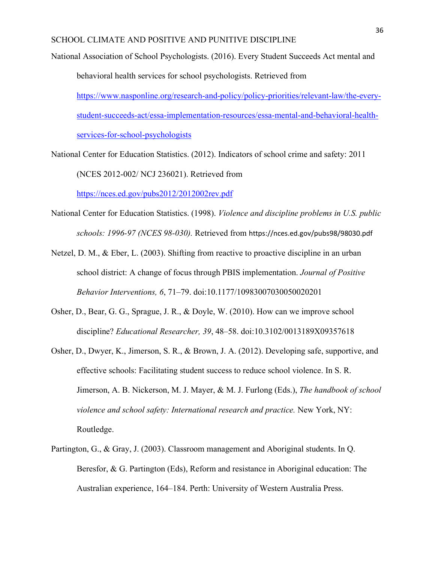- National Association of School Psychologists. (2016). Every Student Succeeds Act mental and behavioral health services for school psychologists. Retrieved from [https://www.nasponline.org/research-and-policy/policy-priorities/relevant-law/the-every](https://www.nasponline.org/research-and-policy/policy-priorities/relevant-law/the-every-student-succeeds-act/essa-implementation-resources/essa-mental-and-behavioral-health-services-for-school-psychologists)[student-succeeds-act/essa-implementation-resources/essa-mental-and-behavioral-health](https://www.nasponline.org/research-and-policy/policy-priorities/relevant-law/the-every-student-succeeds-act/essa-implementation-resources/essa-mental-and-behavioral-health-services-for-school-psychologists)[services-for-school-psychologists](https://www.nasponline.org/research-and-policy/policy-priorities/relevant-law/the-every-student-succeeds-act/essa-implementation-resources/essa-mental-and-behavioral-health-services-for-school-psychologists)
- National Center for Education Statistics. (2012). Indicators of school crime and safety: 2011 (NCES 2012-002/ NCJ 236021). Retrieved from

<https://nces.ed.gov/pubs2012/2012002rev.pdf>

- National Center for Education Statistics. (1998). *Violence and discipline problems in U.S. public schools: 1996-97 (NCES 98-030).* Retrieved from https://nces.ed.gov/pubs98/98030.pdf
- Netzel, D. M., & Eber, L. (2003). Shifting from reactive to proactive discipline in an urban school district: A change of focus through PBIS implementation. *Journal of Positive Behavior Interventions, 6*, 71–79. doi:10.1177/10983007030050020201
- Osher, D., Bear, G. G., Sprague, J. R., & Doyle, W. (2010). How can we improve school discipline? *Educational Researcher, 39*, 48–58. doi:10.3102/0013189X09357618
- Osher, D., Dwyer, K., Jimerson, S. R., & Brown, J. A. (2012). Developing safe, supportive, and effective schools: Facilitating student success to reduce school violence. In S. R. Jimerson, A. B. Nickerson, M. J. Mayer, & M. J. Furlong (Eds.), *The handbook of school violence and school safety: International research and practice.* New York, NY: Routledge.
- Partington, G., & Gray, J. (2003). Classroom management and Aboriginal students. In Q. Beresfor, & G. Partington (Eds), Reform and resistance in Aboriginal education: The Australian experience, 164–184. Perth: University of Western Australia Press.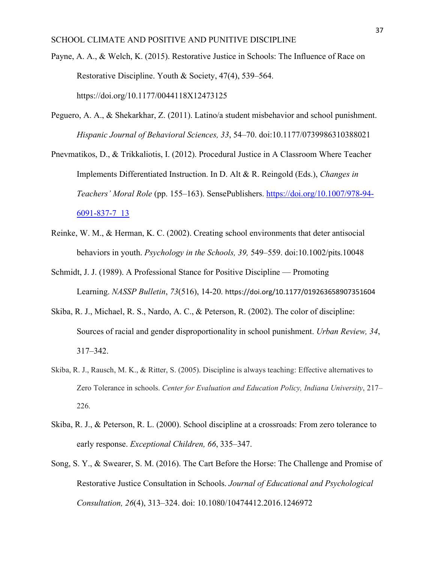- Payne, A. A., & Welch, K. (2015). Restorative Justice in Schools: The Influence of Race on Restorative Discipline. Youth & Society, 47(4), 539–564. https://doi.org/10.1177/0044118X12473125
- Peguero, A. A., & Shekarkhar, Z. (2011). Latino/a student misbehavior and school punishment. *Hispanic Journal of Behavioral Sciences, 33*, 54–70. doi:10.1177/0739986310388021
- Pnevmatikos, D., & Trikkaliotis, I. (2012). Procedural Justice in A Classroom Where Teacher Implements Differentiated Instruction. In D. Alt & R. Reingold (Eds.), *Changes in Teachers' Moral Role* (pp. 155–163). SensePublishers. [https://doi.org/10.1007/978-94-](https://doi.org/10.1007/978-94-6091-837-7_13) [6091-837-7\\_13](https://doi.org/10.1007/978-94-6091-837-7_13)
- Reinke, W. M., & Herman, K. C. (2002). Creating school environments that deter antisocial behaviors in youth. *Psychology in the Schools, 39,* 549–559. doi:10.1002/pits.10048
- Schmidt, J. J. (1989). A Professional Stance for Positive Discipline Promoting Learning. *NASSP Bulletin*, *73*(516), 14-20. https://doi.org/10.1177/019263658907351604
- Skiba, R. J., Michael, R. S., Nardo, A. C., & Peterson, R. (2002). The color of discipline: Sources of racial and gender disproportionality in school punishment. *Urban Review, 34*, 317–342.
- Skiba, R. J., Rausch, M. K., & Ritter, S. (2005). Discipline is always teaching: Effective alternatives to Zero Tolerance in schools. *Center for Evaluation and Education Policy, Indiana University*, 217– 226.
- Skiba, R. J., & Peterson, R. L. (2000). School discipline at a crossroads: From zero tolerance to early response. *Exceptional Children, 66*, 335–347.
- Song, S. Y., & Swearer, S. M. (2016). The Cart Before the Horse: The Challenge and Promise of Restorative Justice Consultation in Schools. *Journal of Educational and Psychological Consultation, 26*(4), 313–324. doi: 10.1080/10474412.2016.1246972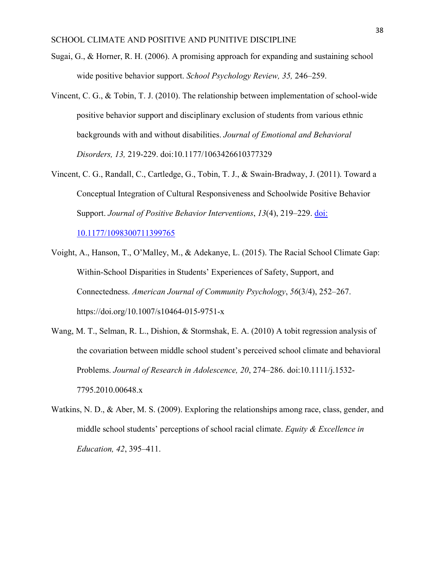- Sugai, G., & Horner, R. H. (2006). A promising approach for expanding and sustaining school wide positive behavior support. *School Psychology Review, 35,* 246–259.
- Vincent, C. G., & Tobin, T. J. (2010). The relationship between implementation of school-wide positive behavior support and disciplinary exclusion of students from various ethnic backgrounds with and without disabilities. *Journal of Emotional and Behavioral Disorders, 13,* 219-229. doi:10.1177/1063426610377329
- Vincent, C. G., Randall, C., Cartledge, G., Tobin, T. J., & Swain-Bradway, J. (2011). Toward a Conceptual Integration of Cultural Responsiveness and Schoolwide Positive Behavior Support. *Journal of Positive Behavior Interventions*, *13*(4), 219–229. [doi:](https://doi.org/10.1177/1098300711399765)

[10.1177/1098300711399765](https://doi.org/10.1177/1098300711399765)

- Voight, A., Hanson, T., O'Malley, M., & Adekanye, L. (2015). The Racial School Climate Gap: Within-School Disparities in Students' Experiences of Safety, Support, and Connectedness. *American Journal of Community Psychology*, *56*(3/4), 252–267. https://doi.org/10.1007/s10464-015-9751-x
- Wang, M. T., Selman, R. L., Dishion, & Stormshak, E. A. (2010) A tobit regression analysis of the covariation between middle school student's perceived school climate and behavioral Problems. *Journal of Research in Adolescence, 20*, 274–286. doi:10.1111/j.1532- 7795.2010.00648.x
- Watkins, N. D., & Aber, M. S. (2009). Exploring the relationships among race, class, gender, and middle school students' perceptions of school racial climate. *Equity & Excellence in Education, 42*, 395–411.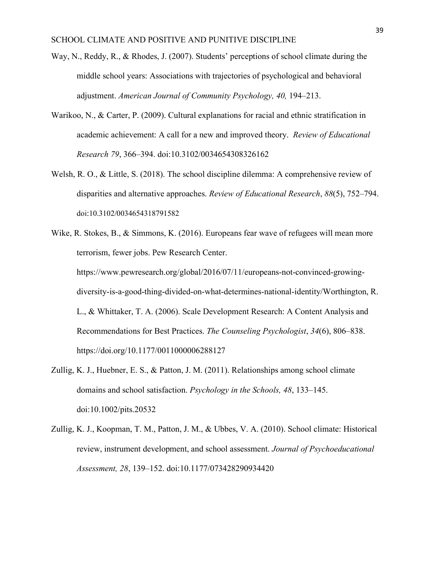- Way, N., Reddy, R., & Rhodes, J. (2007). Students' perceptions of school climate during the middle school years: Associations with trajectories of psychological and behavioral adjustment. *American Journal of Community Psychology, 40,* 194–213.
- Warikoo, N., & Carter, P. (2009). Cultural explanations for racial and ethnic stratification in academic achievement: A call for a new and improved theory. *Review of Educational Research 79*, 366–394. doi:10.3102/0034654308326162
- Welsh, R. O., & Little, S. (2018). The school discipline dilemma: A comprehensive review of disparities and alternative approaches. *Review of Educational Research*, *88*(5), 752–794. doi:10.3102/0034654318791582
- Wike, R. Stokes, B., & Simmons, K. (2016). Europeans fear wave of refugees will mean more terrorism, fewer jobs. Pew Research Center. https://www.pewresearch.org/global/2016/07/11/europeans-not-convinced-growingdiversity-is-a-good-thing-divided-on-what-determines-national-identity/Worthington, R. L., & Whittaker, T. A. (2006). Scale Development Research: A Content Analysis and Recommendations for Best Practices. *The Counseling Psychologist*, *34*(6), 806–838. https://doi.org/10.1177/0011000006288127
- Zullig, K. J., Huebner, E. S., & Patton, J. M. (2011). Relationships among school climate domains and school satisfaction. *Psychology in the Schools, 48*, 133–145. doi:10.1002/pits.20532
- Zullig, K. J., Koopman, T. M., Patton, J. M., & Ubbes, V. A. (2010). School climate: Historical review, instrument development, and school assessment. *Journal of Psychoeducational Assessment, 28*, 139–152. doi:10.1177/073428290934420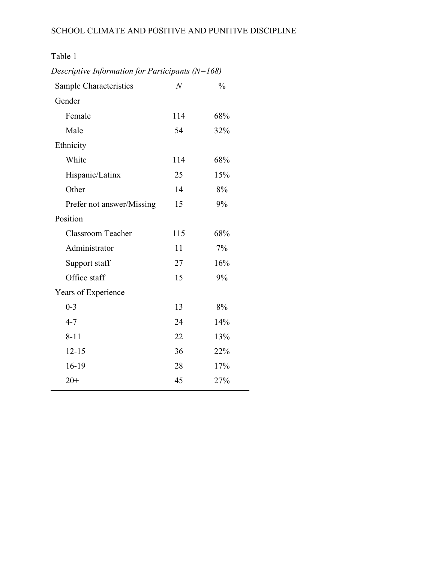Table 1

| Sample Characteristics    | $\overline{N}$ | $\frac{0}{0}$ |
|---------------------------|----------------|---------------|
| Gender                    |                |               |
| Female                    | 114            | 68%           |
| Male                      | 54             | 32%           |
| Ethnicity                 |                |               |
| White                     | 114            | 68%           |
| Hispanic/Latinx           | 25             | 15%           |
| Other                     | 14             | 8%            |
| Prefer not answer/Missing | 15             | 9%            |
| Position                  |                |               |
| <b>Classroom Teacher</b>  | 115            | 68%           |
| Administrator             | 11             | 7%            |
| Support staff             | 27             | 16%           |
| Office staff              | 15             | 9%            |
| Years of Experience       |                |               |
| $0 - 3$                   | 13             | 8%            |
| $4 - 7$                   | 24             | 14%           |
| $8 - 11$                  | 22             | 13%           |
| $12 - 15$                 | 36             | 22%           |
| 16-19                     | 28             | 17%           |
| $20+$                     | 45             | 27%           |

*Descriptive Information for Participants (N=168)*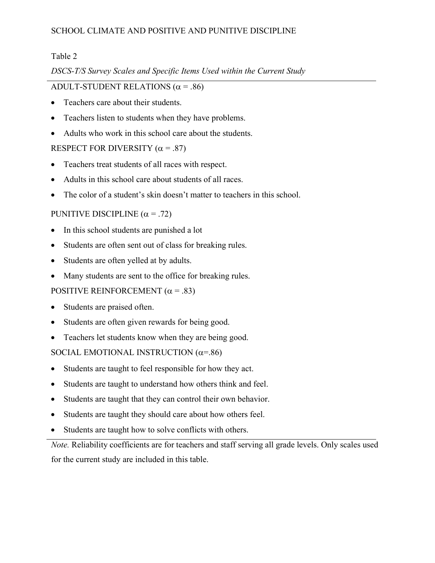# Table 2

# *DSCS-T/S Survey Scales and Specific Items Used within the Current Study*

# ADULT-STUDENT RELATIONS  $(\alpha = .86)$

- Teachers care about their students.
- Teachers listen to students when they have problems.
- Adults who work in this school care about the students.

# RESPECT FOR DIVERSITY  $(\alpha = .87)$

- Teachers treat students of all races with respect.
- Adults in this school care about students of all races.
- The color of a student's skin doesn't matter to teachers in this school.

# PUNITIVE DISCIPLINE  $(\alpha = .72)$

- In this school students are punished a lot
- Students are often sent out of class for breaking rules.
- Students are often yelled at by adults.
- Many students are sent to the office for breaking rules.

# POSITIVE REINFORCEMENT  $(\alpha = .83)$

- Students are praised often.
- Students are often given rewards for being good.
- Teachers let students know when they are being good.

# SOCIAL EMOTIONAL INSTRUCTION  $(\alpha = .86)$

- Students are taught to feel responsible for how they act.
- Students are taught to understand how others think and feel.
- Students are taught that they can control their own behavior.
- Students are taught they should care about how others feel.
- Students are taught how to solve conflicts with others.

*Note.* Reliability coefficients are for teachers and staff serving all grade levels. Only scales used for the current study are included in this table.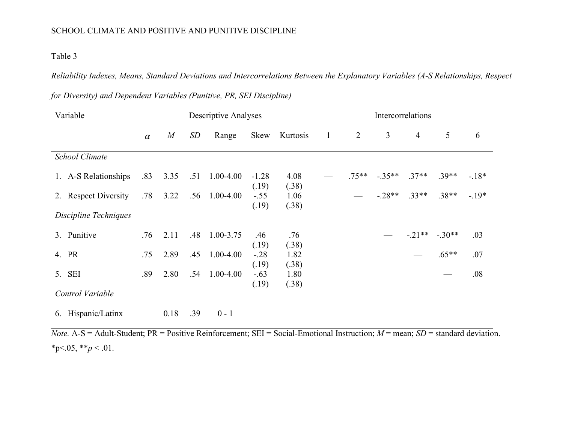# Table 3

*Reliability Indexes, Means, Standard Deviations and Intercorrelations Between the Explanatory Variables (A-S Relationships, Respect* 

| Variable              | Descriptive Analyses |                |     |               |                  |               | Intercorrelations |                |                |         |                |         |
|-----------------------|----------------------|----------------|-----|---------------|------------------|---------------|-------------------|----------------|----------------|---------|----------------|---------|
|                       | $\alpha$             | $\overline{M}$ | SD  | Range         | Skew             | Kurtosis      | $\mathbf{1}$      | $\overline{2}$ | $\mathfrak{Z}$ | 4       | 5              | 6       |
| <b>School Climate</b> |                      |                |     |               |                  |               |                   |                |                |         |                |         |
| 1. A-S Relationships  | .83                  | 3.35           | .51 | $1.00 - 4.00$ | $-1.28$<br>(.19) | 4.08<br>(.38) |                   | $.75**$        | $-.35**$       | $.37**$ | $.39**$        | $-18*$  |
| 2. Respect Diversity  | .78                  | 3.22           | .56 | $1.00 - 4.00$ | $-.55$<br>(.19)  | 1.06<br>(.38) |                   |                | $-.28**$       | $.33**$ | $.38**$        | $-.19*$ |
| Discipline Techniques |                      |                |     |               |                  |               |                   |                |                |         |                |         |
| 3. Punitive           | .76                  | 2.11           | .48 | $1.00 - 3.75$ | .46<br>(.19)     | .76<br>(.38)  |                   |                |                |         | $-.21**-.30**$ | .03     |
| 4. PR                 | .75                  | 2.89           | .45 | $1.00 - 4.00$ | $-.28$<br>(.19)  | 1.82<br>(.38) |                   |                |                |         | $.65***$       | .07     |
| 5. SEI                | .89                  | 2.80           | .54 | 1.00-4.00     | $-.63$<br>(.19)  | 1.80<br>(.38) |                   |                |                |         |                | .08     |
| Control Variable      |                      |                |     |               |                  |               |                   |                |                |         |                |         |
| 6. Hispanic/Latinx    |                      | 0.18           | .39 | $0 - 1$       |                  |               |                   |                |                |         |                |         |

*for Diversity) and Dependent Variables (Punitive, PR, SEI Discipline)*

*Note.* A-S = Adult-Student; PR = Positive Reinforcement; SEI = Social-Emotional Instruction; *M* = mean; *SD* = standard deviation.  $*_{p<.05,} *_{p<.01.}$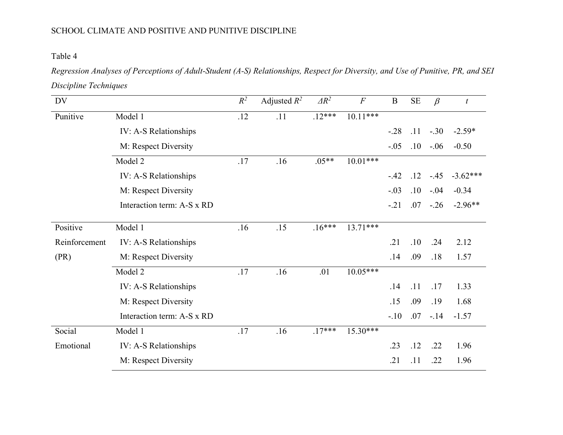# Table 4

*Regression Analyses of Perceptions of Adult-Student (A-S) Relationships, Respect for Diversity, and Use of Punitive, PR, and SEI Discipline Techniques*

| DV            |                            | $R^2$ | Adjusted $R^2$ | $\Delta R^2$ | $\boldsymbol{F}$ | $\bf{B}$ | $\rm SE$ | $\beta$ | $\boldsymbol{t}$ |
|---------------|----------------------------|-------|----------------|--------------|------------------|----------|----------|---------|------------------|
| Punitive      | Model 1                    | .12   | .11            | $.12***$     | $10.11***$       |          |          |         |                  |
|               | IV: A-S Relationships      |       |                |              |                  | $-28$    | .11      | $-.30$  | $-2.59*$         |
|               | M: Respect Diversity       |       |                |              |                  | $-.05$   | .10      | $-.06$  | $-0.50$          |
|               | Model 2                    | .17   | .16            | $.05**$      | $10.01***$       |          |          |         |                  |
|               | IV: A-S Relationships      |       |                |              |                  | $-.42$   | .12      | $-.45$  | $-3.62***$       |
|               | M: Respect Diversity       |       |                |              |                  | $-.03$   | .10      | $-.04$  | $-0.34$          |
|               | Interaction term: A-S x RD |       |                |              |                  | $-.21$   | .07      | $-.26$  | $-2.96**$        |
| Positive      | Model 1                    | .16   | .15            | $.16***$     | $13.71***$       |          |          |         |                  |
| Reinforcement | IV: A-S Relationships      |       |                |              |                  | .21      | .10      | .24     | 2.12             |
| (PR)          | M: Respect Diversity       |       |                |              |                  | .14      | .09      | .18     | 1.57             |
|               | Model 2                    | .17   | .16            | .01          | $10.05***$       |          |          |         |                  |
|               | IV: A-S Relationships      |       |                |              |                  | .14      | .11      | .17     | 1.33             |
|               | M: Respect Diversity       |       |                |              |                  | .15      | .09      | .19     | 1.68             |
|               | Interaction term: A-S x RD |       |                |              |                  | $-.10$   | .07      | $-.14$  | $-1.57$          |
| Social        | Model 1                    | .17   | .16            | $.17***$     | $15.30***$       |          |          |         |                  |
| Emotional     | IV: A-S Relationships      |       |                |              |                  | .23      | .12      | .22     | 1.96             |
|               | M: Respect Diversity       |       |                |              |                  | .21      | .11      | .22     | 1.96             |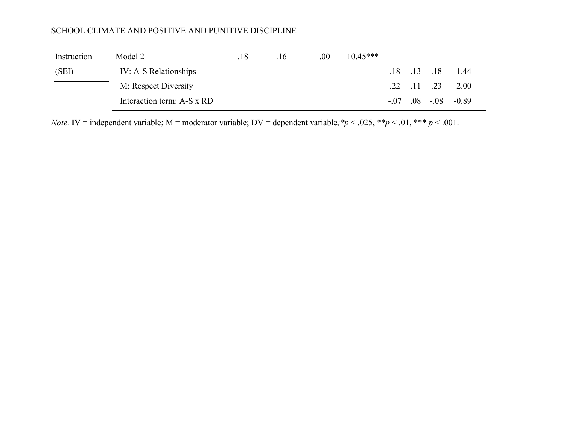| Instruction | Model 2                    | .18 | .16 | .00 | $10.45***$ |  |                              |
|-------------|----------------------------|-----|-----|-----|------------|--|------------------------------|
| (SEI)       | IV: A-S Relationships      |     |     |     |            |  | $.18$ $.13$ $.18$ $.144$     |
|             | M: Respect Diversity       |     |     |     |            |  | $.22$ $.11$ $.23$ $.200$     |
|             | Interaction term: A-S x RD |     |     |     |            |  | $-.07$ $.08$ $-.08$ $-.0.89$ |

*Note.* IV = independent variable; M = moderator variable; DV = dependent variable;  $p < .025$ ,  $* p < .01$ ,  $** p < .001$ .